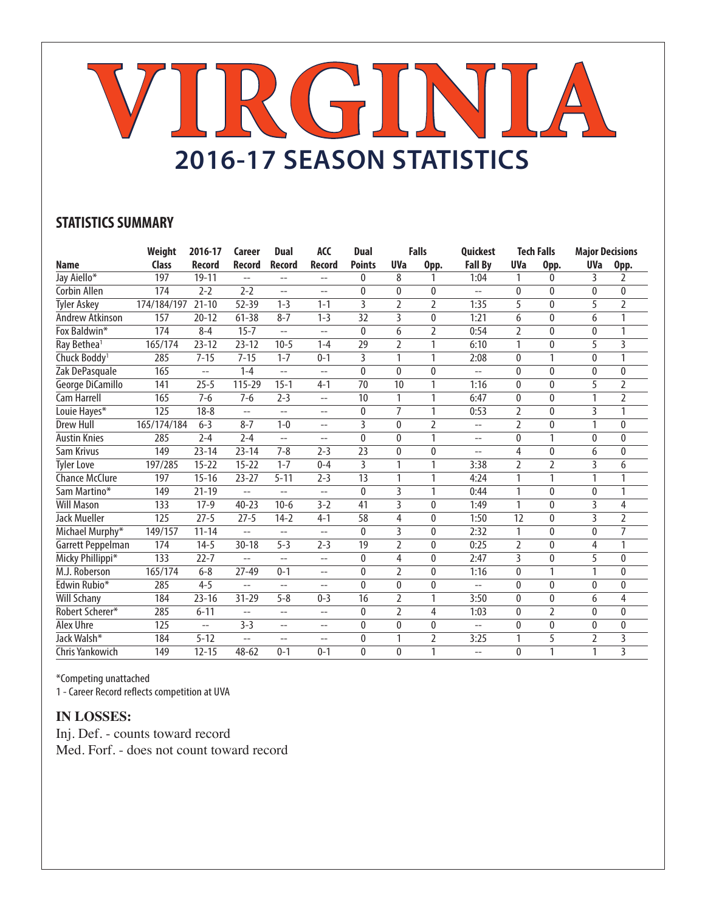# **VIRGINIA 2016-17 SEASON STATISTICS**

## **STATISTICS SUMMARY**

|                          | Weight       | 2016-17        | Career                   | <b>Dual</b>    | <b>ACC</b>                  | <b>Dual</b>    |                | <b>Falls</b>   | <b>Quickest</b>          |                | <b>Tech Falls</b> | <b>Major Decisions</b> |                |
|--------------------------|--------------|----------------|--------------------------|----------------|-----------------------------|----------------|----------------|----------------|--------------------------|----------------|-------------------|------------------------|----------------|
| <b>Name</b>              | <b>Class</b> | <b>Record</b>  | Record                   | <b>Record</b>  | <b>Record</b>               | <b>Points</b>  | <b>UVa</b>     | Opp.           | <b>Fall By</b>           | <b>UVa</b>     | Opp.              | <b>UVa</b>             | Opp.           |
| Jay Aiello*              | 197          | $19 - 11$      | $-$                      | $-$            | $- -$                       | 0              | 8              | 1              | 1:04                     | 1              | 0                 | 3                      | 2              |
| Corbin Allen             | 174          | $2 - 2$        | $2 - 2$                  | $-$            | $-$                         | $\Omega$       | $\Omega$       | $\Omega$       | $-$                      | $\mathbf{0}$   | 0                 | $\Omega$               | 0              |
| <b>Tyler Askey</b>       | 174/184/197  | $21 - 10$      | 52-39                    | $1 - 3$        | $1 - 1$                     | $\overline{3}$ | $\mathfrak{I}$ | $\overline{2}$ | 1:35                     | 5              | $\mathbf{0}$      | 5                      | $\overline{2}$ |
| <b>Andrew Atkinson</b>   | 157          | $20 - 12$      | $61 - 38$                | $8 - 7$        | $1 - 3$                     | 32             | 3              | $\mathbf{0}$   | 1:21                     | 6              | 0                 | 6                      | 1              |
| Fox Baldwin*             | 174          | $8 - 4$        | $15 - 7$                 | $-$            | $-$                         | $\mathbf{0}$   | 6              | $\overline{2}$ | 0:54                     | $\overline{2}$ | 0                 | $\mathbf{0}$           | 1              |
| Ray Bethea <sup>1</sup>  | 165/174      | $23 - 12$      | $23 - 12$                | $10 - 5$       | $1 - 4$                     | 29             | $\overline{2}$ | 1              | 6:10                     | 1              | $\pmb{0}$         | 5                      | 3              |
| Chuck Boddy <sup>1</sup> | 285          | $7 - 15$       | $7 - 15$                 | $1 - 7$        | $0 - 1$                     | 3              | $\mathbf{1}$   | $\mathbf{1}$   | 2:08                     | $\mathbf{0}$   | 1                 | $\mathbf{0}$           | 1              |
| Zak DePasquale           | 165          | --             | $1 - 4$                  | $\overline{a}$ | $\overline{a}$              | $\mathbf{0}$   | $\theta$       | $\mathbf{0}$   | $\overline{a}$           | $\mathbf{0}$   | $\mathbf{0}$      | $\mathbf{0}$           | 0              |
| George DiCamillo         | 141          | $25 - 5$       | 115-29                   | $15 - 1$       | $4 - 1$                     | 70             | 10             | $\mathbf{1}$   | 1:16                     | 0              | $\mathbf{0}$      | 5                      | 2              |
| Cam Harrell              | 165          | $7 - 6$        | $7 - 6$                  | $2 - 3$        | $- -$                       | 10             | 1              | 1              | 6:47                     | $\mathbf{0}$   | 0                 | 1                      | 2              |
| Louie Hayes*             | 125          | $18 - 8$       | $-$                      | $-$            | $\overline{\phantom{a}}$    | 0              | $\overline{7}$ | 1              | 0:53                     | $\overline{2}$ | 0                 | $\overline{3}$         |                |
| <b>Drew Hull</b>         | 165/174/184  | $6 - 3$        | $8 - 7$                  | $1 - 0$        | $\overline{a}$              | 3              | $\Omega$       | $\overline{2}$ | $\overline{\phantom{a}}$ | 2              | 0                 | 1                      | 0              |
| <b>Austin Knies</b>      | 285          | $2 - 4$        | $2 - 4$                  | $-$            | $-$                         | $\mathbf{0}$   | $\mathbf{0}$   | $\mathbf{1}$   | $-$                      | 0              | 1                 | $\mathbf{0}$           | 0              |
| Sam Krivus               | 149          | $23 - 14$      | $23 - 14$                | $7 - 8$        | $2 - 3$                     | 23             | $\mathbf{0}$   | $\mathbf{0}$   | $-$                      | 4              | 0                 | 6                      | 0              |
| <b>Tyler Love</b>        | 197/285      | $15 - 22$      | $15 - 22$                | $1 - 7$        | $0 - 4$                     | 3              | 1              | 1              | 3:38                     | $\overline{2}$ | $\overline{2}$    | 3                      | 6              |
| <b>Chance McClure</b>    | 197          | $15 - 16$      | $23 - 27$                | $5 - 11$       | $2 - 3$                     | 13             |                | 1              | 4:24                     | 1              | 1                 | 1                      |                |
| Sam Martino*             | 149          | $21 - 19$      | --                       | $-$            | $\overline{a}$              | $\Omega$       | 3              | 1              | 0:44                     | 1              | 0                 | $\Omega$               | 1              |
| <b>Will Mason</b>        | 133          | $17-9$         | $40 - 23$                | $10-6$         | $3 - 2$                     | 41             | 3              | $\mathbf{0}$   | 1:49                     | 1              | 0                 | 3                      | 4              |
| Jack Mueller             | 125          | $27 - 5$       | $27 - 5$                 | $14-2$         | $4 - 1$                     | 58             | 4              | $\mathbf{0}$   | 1:50                     | 12             | 0                 | 3                      | $\overline{2}$ |
| Michael Murphy*          | 149/157      | $11 - 14$      | $-$                      | $\overline{a}$ | $-$                         | $\mathbf{0}$   | 3              | $\mathbf{0}$   | 2:32                     | 1              | 0                 | $\mathbf{0}$           | $\overline{7}$ |
| Garrett Peppelman        | 174          | $14 - 5$       | $30 - 18$                | $5 - 3$        | $2 - 3$                     | 19             | $\overline{2}$ | $\mathbf{0}$   | 0:25                     | 2              | 0                 | 4                      | 1              |
| Micky Phillippi*         | 133          | $22 - 7$       | $-$                      | $\overline{a}$ | $\sim$ $\sim$               | $\Omega$       | 4              | $\theta$       | 2:47                     | 3              | 0                 | 5                      | $\mathbf{0}$   |
| M.J. Roberson            | 165/174      | $6 - 8$        | $27 - 49$                | $0 - 1$        | $-$                         | $\mathbf{0}$   | $\mathfrak{D}$ | $\theta$       | 1:16                     | $\mathbf{0}$   | 1                 | 1                      | $\mathbf{0}$   |
| Edwin Rubio*             | 285          | $4 - 5$        | $-$                      | $- -$          | $- -$                       | $\mathbf{0}$   | $\Omega$       | $\mathbf{0}$   | $-$                      | $\mathbf{0}$   | 0                 | $\mathbf{0}$           | 0              |
| <b>Will Schany</b>       | 184          | $23 - 16$      | $31 - 29$                | $5 - 8$        | $0 - 3$                     | 16             | $\overline{2}$ | 1              | 3:50                     | $\mathbf{0}$   | 0                 | 6                      | 4              |
| Robert Scherer*          | 285          | $6 - 11$       | $\overline{\phantom{m}}$ | $-$            | $\mathcal{L} = \mathcal{L}$ | $\mathbf{0}$   | $\overline{2}$ | 4              | 1:03                     | $\mathbf{0}$   | $\overline{2}$    | 0                      | 0              |
| Alex Uhre                | 125          | $\overline{a}$ | $3 - 3$                  | $\overline{a}$ | $-$                         | $\mathbf{0}$   | $\mathbf{0}$   | $\mathbf{0}$   | $-$                      | $\mathbf{0}$   | 0                 | 0                      | 0              |
| Jack Walsh*              | 184          | $5 - 12$       | $-$                      | $-$            | $-$                         | $\mathbf{0}$   | 1              | 2              | 3:25                     | 1              | 5                 | 2                      | 3              |
| Chris Yankowich          | 149          | $12 - 15$      | $48 - 62$                | $0 - 1$        | $0 - 1$                     | 0              | $\mathbf{0}$   | 1              | $-$                      | 0              | 1                 | 1                      | 3              |

\*Competing unattached

1 - Career Record reflects competition at UVA

### **IN LOSSES:**

Inj. Def. - counts toward record Med. Forf. - does not count toward record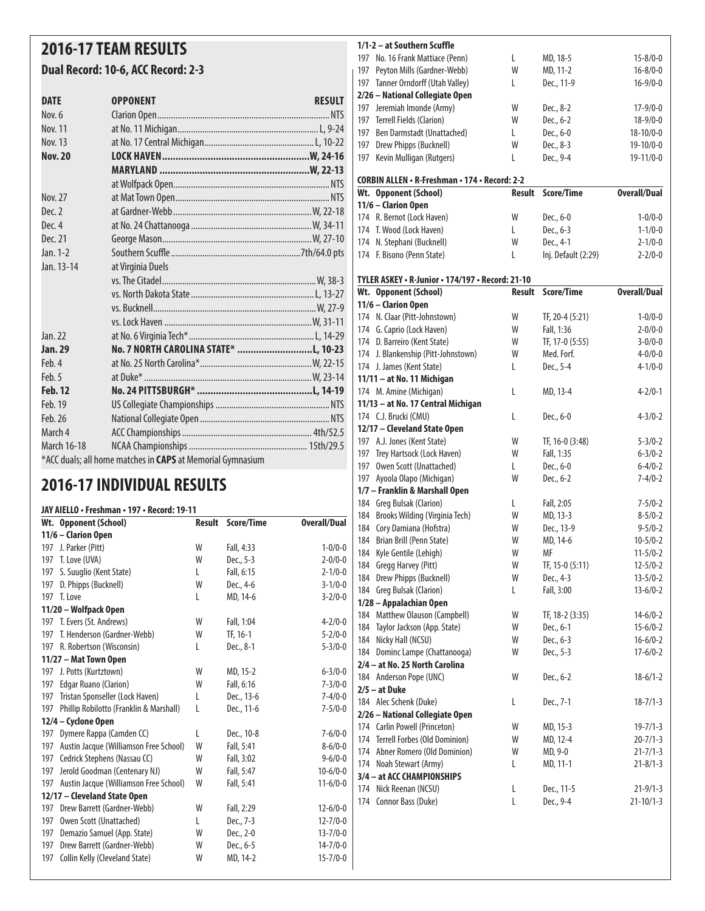## **2016-17 TEAM RESULTS**

### **Dual Record: 10-6, ACC Record: 2-3**

| <b>DATE</b>    | <b>OPPONENT</b>                                            | <b>RESULT</b> |
|----------------|------------------------------------------------------------|---------------|
| Nov. 6         |                                                            |               |
| <b>Nov. 11</b> |                                                            |               |
| Nov. 13        |                                                            |               |
| <b>Nov. 20</b> |                                                            |               |
|                |                                                            |               |
|                |                                                            |               |
| Nov. 27        |                                                            |               |
| Dec. 2         |                                                            |               |
| Dec. 4         |                                                            |               |
| Dec. 21        |                                                            |               |
| Jan. 1-2       |                                                            |               |
| Jan. 13-14     | at Virginia Duels                                          |               |
|                |                                                            |               |
|                |                                                            |               |
|                |                                                            |               |
|                |                                                            |               |
| Jan. 22        |                                                            |               |
| Jan. 29        | No. 7 NORTH CAROLINA STATE* L, 10-23                       |               |
| Feb. 4         |                                                            |               |
| Feb. 5         |                                                            |               |
| <b>Feb. 12</b> |                                                            |               |
| Feb. 19        |                                                            |               |
| Feb. 26        |                                                            |               |
| March 4        |                                                            |               |
| March 16-18    |                                                            |               |
|                | *ACC duals; all home matches in CAPS at Memorial Gymnasium |               |

# **2016-17 INDIVIDUAL RESULTS**

#### **JAY AIELLO • Freshman • 197 • Record: 19-11**

|     | <u> EXISTENT FRESHINGHET 127 - NECULUI 12-TT</u> |               |            |                     |
|-----|--------------------------------------------------|---------------|------------|---------------------|
|     | Wt. Opponent (School)                            | <b>Result</b> | Score/Time | <b>Overall/Dual</b> |
|     | 11/6 - Clarion Open                              |               |            |                     |
|     | 197 J. Parker (Pitt)                             | W             | Fall, 4:33 | $1 - 0/0 - 0$       |
| 197 | T. Love (UVA)                                    | W             | Dec., 5-3  | $2 - 0/0 - 0$       |
| 197 | S. Suuglio (Kent State)                          | L             | Fall, 6:15 | $2 - 1/0 - 0$       |
| 197 | D. Phipps (Bucknell)                             | W             | Dec., 4-6  | $3 - 1/0 - 0$       |
|     | 197 T. Love                                      | L             | MD, 14-6   | $3 - 2/0 - 0$       |
|     | 11/20 - Wolfpack Open                            |               |            |                     |
|     | 197 T. Evers (St. Andrews)                       | W             | Fall, 1:04 | $4 - 2/0 - 0$       |
| 197 | T. Henderson (Gardner-Webb)                      | W             | TF, 16-1   | $5 - 2/0 - 0$       |
| 197 | R. Robertson (Wisconsin)                         | L             | Dec., 8-1  | $5 - 3/0 - 0$       |
|     | 11/27 - Mat Town Open                            |               |            |                     |
| 197 | J. Potts (Kurtztown)                             | W             | MD, 15-2   | $6 - 3/0 - 0$       |
| 197 | Edgar Ruano (Clarion)                            | W             | Fall, 6:16 | $7 - 3/0 - 0$       |
| 197 | Tristan Sponseller (Lock Haven)                  | L             | Dec., 13-6 | $7 - 4/0 - 0$       |
| 197 | Phillip Robilotto (Franklin & Marshall)          | L             | Dec., 11-6 | $7 - 5/0 - 0$       |
|     | 12/4 - Cyclone Open                              |               |            |                     |
| 197 | Dymere Rappa (Camden CC)                         | L             | Dec., 10-8 | $7 - 6/0 - 0$       |
| 197 | Austin Jacque (Williamson Free School)           | W             | Fall, 5:41 | $8-6/0-0$           |
| 197 | Cedrick Stephens (Nassau CC)                     | W             | Fall, 3:02 | $9 - 6/0 - 0$       |
| 197 | Jerold Goodman (Centenary NJ)                    | W             | Fall, 5:47 | $10-6/0-0$          |
| 197 | Austin Jacque (Williamson Free School)           | W             | Fall, 5:41 | $11-6/0-0$          |
|     | 12/17 - Cleveland State Open                     |               |            |                     |
| 197 | Drew Barrett (Gardner-Webb)                      | W             | Fall, 2:29 | $12 - 6/0 - 0$      |
| 197 | Owen Scott (Unattached)                          | L             | Dec., 7-3  | $12 - 7/0 - 0$      |
| 197 | Demazio Samuel (App. State)                      | W             | Dec., 2-0  | $13 - 7/0 - 0$      |
| 197 | Drew Barrett (Gardner-Webb)                      | W             | Dec., 6-5  | $14 - 7/0 - 0$      |
| 197 | Collin Kelly (Cleveland State)                   | W             | MD, 14-2   | $15 - 7/0 - 0$      |
|     |                                                  |               |            |                     |

#### **1/1-2 – at Southern Scuffle**

| 197 | No. 16 Frank Mattiace (Penn)                  | L      | MD, 18-5            | $15 - 8/0 - 0$      |
|-----|-----------------------------------------------|--------|---------------------|---------------------|
| 197 | Peyton Mills (Gardner-Webb)                   | W      | MD, 11-2            | $16 - 8/0 - 0$      |
| 197 | Tanner Orndorff (Utah Valley)                 | L      | Dec., 11-9          | $16 - 9/0 - 0$      |
|     | 2/26 - National Collegiate Open               |        |                     |                     |
| 197 | Jeremiah Imonde (Army)                        | W      | Dec., 8-2           | $17 - 9/0 - 0$      |
| 197 | Terrell Fields (Clarion)                      | W      | Dec., 6-2           | $18-9/0-0$          |
| 197 | Ben Darmstadt (Unattached)                    | L      | Dec., 6-0           | $18 - 10/0 - 0$     |
| 197 | Drew Phipps (Bucknell)                        | W      | Dec., 8-3           | $19-10/0-0$         |
| 197 | Kevin Mulligan (Rutgers)                      | L      | Dec., 9-4           | $19 - 11/0 - 0$     |
|     | CORBIN ALLEN • R-Freshman • 174 • Record: 2-2 |        |                     |                     |
|     | Wt. Opponent (School)                         | Result | Score/Time          | <b>Overall/Dual</b> |
|     | 11/6 - Clarion Open                           |        |                     |                     |
|     | 174 R. Bernot (Lock Haven)                    | W      | Dec., 6-0           | $1 - 0/0 - 0$       |
|     | 174 T. Wood (Lock Haven)                      | L      | Dec., 6-3           | $1 - 1/0 - 0$       |
| 174 | N. Stephani (Bucknell)                        | W      | Dec., 4-1           | $2 - 1/0 - 0$       |
|     | 174 F. Bisono (Penn State)                    | L      | Inj. Default (2:29) | $2 - 2/0 - 0$       |

#### **TYLER ASKEY • R-Junior • 174/197 • Record: 21-10**

| Wt. Opponent (School)               | <b>Result</b> | Score/Time      | <b>Overall/Dual</b> |
|-------------------------------------|---------------|-----------------|---------------------|
| 11/6 - Clarion Open                 |               |                 |                     |
| 174 N. Claar (Pitt-Johnstown)       | W             | TF, 20-4 (5:21) | $1 - 0/0 - 0$       |
| 174 G. Caprio (Lock Haven)          | W             | Fall, 1:36      | $2 - 0/0 - 0$       |
| 174 D. Barreiro (Kent State)        | W             | TF, 17-0 (5:55) | $3 - 0/0 - 0$       |
| 174 J. Blankenship (Pitt-Johnstown) | W             | Med. Forf.      | $4 - 0/0 - 0$       |
| 174 J. James (Kent State)           | L             | Dec., 5-4       | $4 - 1/0 - 0$       |
| 11/11 - at No. 11 Michigan          |               |                 |                     |
| 174 M. Amine (Michigan)             | L             | MD, 13-4        | $4 - 2/0 - 1$       |
| 11/13 - at No. 17 Central Michigan  |               |                 |                     |
| 174 C.J. Brucki (CMU)               | L             | Dec., 6-0       | $4 - 3/0 - 2$       |
| 12/17 - Cleveland State Open        |               |                 |                     |
| 197 A.J. Jones (Kent State)         | W             | TF, 16-0 (3:48) | $5 - 3/0 - 2$       |
| 197 Trey Hartsock (Lock Haven)      | W             | Fall, 1:35      | $6 - 3/0 - 2$       |
| 197 Owen Scott (Unattached)         | L             | Dec., 6-0       | $6 - 4/0 - 2$       |
| 197 Ayoola Olapo (Michigan)         | W             | Dec., 6-2       | $7 - 4/0 - 2$       |
| 1/7 - Franklin & Marshall Open      |               |                 |                     |
| 184 Greg Bulsak (Clarion)           | L             | Fall, 2:05      | $7 - 5/0 - 2$       |
| 184 Brooks Wilding (Virginia Tech)  | W             | MD, 13-3        | $8 - 5/0 - 2$       |
| 184 Cory Damiana (Hofstra)          | W             | Dec., 13-9      | $9 - 5/0 - 2$       |
| 184 Brian Brill (Penn State)        | W             | MD, 14-6        | $10 - 5/0 - 2$      |
| 184 Kyle Gentile (Lehigh)           | W             | МF              | $11 - 5/0 - 2$      |
| 184 Gregg Harvey (Pitt)             | W             | TF, 15-0 (5:11) | $12 - 5/0 - 2$      |
| 184 Drew Phipps (Bucknell)          | W             | Dec., 4-3       | $13 - 5/0 - 2$      |
| 184 Greg Bulsak (Clarion)           | L             | Fall, 3:00      | $13 - 6/0 - 2$      |
| 1/28 - Appalachian Open             |               |                 |                     |
| 184 Matthew Olauson (Campbell)      | W             | TF, 18-2 (3:35) | $14 - 6/0 - 2$      |
| 184 Taylor Jackson (App. State)     | W             | Dec., 6-1       | $15 - 6/0 - 2$      |
| 184 Nicky Hall (NCSU)               | W             | Dec., 6-3       | $16 - 6/0 - 2$      |
| 184 Dominc Lampe (Chattanooga)      | W             | Dec., 5-3       | $17 - 6/0 - 2$      |
| 2/4 - at No. 25 North Carolina      |               |                 |                     |
| 184 Anderson Pope (UNC)             | W             | Dec., 6-2       | $18-6/1-2$          |
| $2/5 - at Duke$                     |               |                 |                     |
| 184 Alec Schenk (Duke)              | L             | Dec., 7-1       | $18 - 7/1 - 3$      |
| 2/26 - National Collegiate Open     |               |                 |                     |
| 174 Carlin Powell (Princeton)       | W             | MD, 15-3        | $19 - 7/1 - 3$      |
| 174 Terrell Forbes (Old Dominion)   | W             | MD, 12-4        | $20 - 7/1 - 3$      |
| 174 Abner Romero (Old Dominion)     | W             | MD, 9-0         | $21 - 7/1 - 3$      |
| 174 Noah Stewart (Army)             | L             | MD, 11-1        | $21 - 8/1 - 3$      |
| 3/4 - at ACC CHAMPIONSHIPS          |               |                 |                     |
| 174<br>Nick Reenan (NCSU)           | L             | Dec., 11-5      | $21 - 9/1 - 3$      |
| 174 Connor Bass (Duke)              | L             | Dec., 9-4       | $21 - 10/1 - 3$     |
|                                     |               |                 |                     |
|                                     |               |                 |                     |
|                                     |               |                 |                     |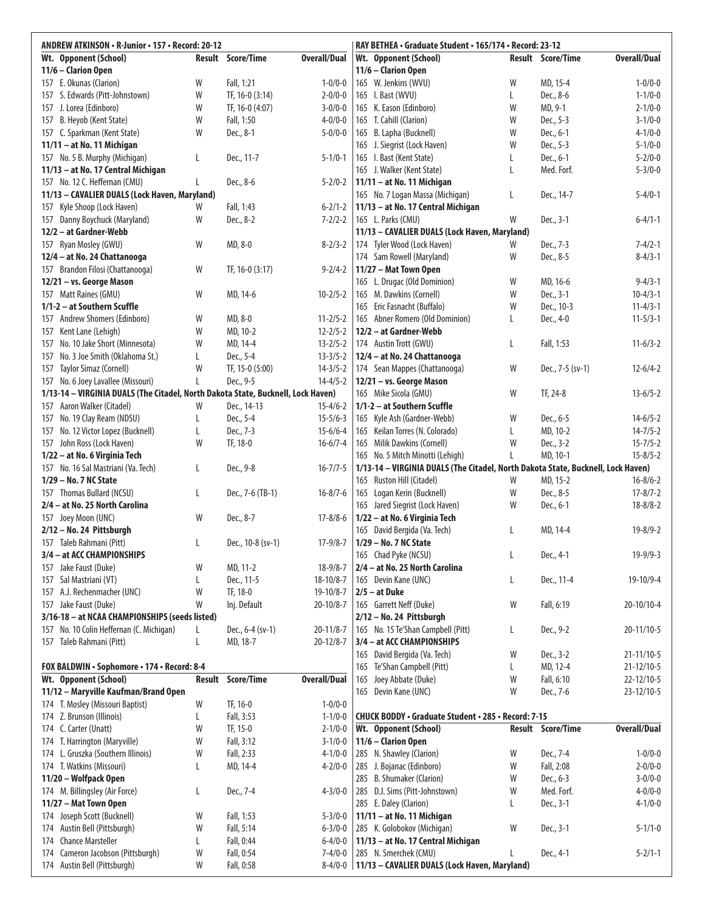| <b>Result Score/Time</b><br><b>Overall/Dual</b><br>Result Score/Time<br><b>Overall/Dual</b><br>Wt. Opponent (School)<br>Wt. Opponent (School)<br>11/6 - Clarion Open<br>11/6 - Clarion Open<br>157 E. Okunas (Clarion)<br>W<br>Fall, 1:21<br>$1 - 0/0 - 0$<br>W<br>MD, 15-4<br>$1 - 0/0 - 0$<br>165 W. Jenkins (WVU)<br>157 S. Edwards (Pitt-Johnstown)<br>W<br>TF, 16-0 (3:14)<br>$2 - 0/0 - 0$<br>165 I. Bast (WVU)<br>Dec., 8-6<br>$1 - 1/0 - 0$<br>L<br>MD, 9-1<br>157 J. Lorea (Edinboro)<br>W<br>TF, 16-0 (4:07)<br>$3 - 0/0 - 0$<br>165 K. Eason (Edinboro)<br>W<br>$2 - 1/0 - 0$<br>157 B. Heyob (Kent State)<br>W<br>Fall, 1:50<br>$4 - 0/0 - 0$<br>165 T. Cahill (Clarion)<br>W<br>Dec., 5-3<br>$3 - 1/0 - 0$<br>W<br>157 C. Sparkman (Kent State)<br>W<br>Dec., 8-1<br>$5 - 0/0 - 0$<br>165 B. Lapha (Bucknell)<br>Dec., 6-1<br>$4 - 1/0 - 0$<br>W<br>11/11 - at No. 11 Michigan<br>Dec., 5-3<br>$5 - 1/0 - 0$<br>165 J. Siegrist (Lock Haven)<br>157 No. 5 B. Murphy (Michigan)<br>Dec., 11-7<br>$5 - 1/0 - 1$<br>Dec., 6-1<br>$5 - 2/0 - 0$<br>L<br>165 I. Bast (Kent State)<br>L<br>Med. Forf.<br>11/13 - at No. 17 Central Michigan<br>165 J. Walker (Kent State)<br>L<br>$5 - 3/0 - 0$<br>157 No. 12 C. Heffernan (CMU)<br>Dec., 8-6<br>11/11 - at No. 11 Michigan<br>$5 - 2/0 - 2$<br>L<br>11/13 - CAVALIER DUALS (Lock Haven, Maryland)<br>165 No. 7 Logan Massa (Michigan)<br>L<br>Dec., 14-7<br>$5 - 4/0 - 1$<br>157 Kyle Shoop (Lock Haven)<br>Fall, 1:43<br>11/13 - at No. 17 Central Michigan<br>$6 - 2/1 - 2$<br>W<br>W<br>W<br>Dec., 8-2<br>165 L. Parks (CMU)<br>Dec., 3-1<br>Danny Boychuck (Maryland)<br>$7 - 2/2 - 2$<br>$6 - 4/1 - 1$<br>157<br>12/2 - at Gardner-Webb<br>11/13 - CAVALIER DUALS (Lock Haven, Maryland)<br>157 Ryan Mosley (GWU)<br>W<br>MD, 8-0<br>$8 - 2/3 - 2$<br>174 Tyler Wood (Lock Haven)<br>Dec., 7-3<br>$7 - 4/2 - 1$<br>W<br>12/4 - at No. 24 Chattanooga<br>174 Sam Rowell (Maryland)<br>Dec., 8-5<br>$8 - 4/3 - 1$<br>W<br>157 Brandon Filosi (Chattanooga)<br>W<br>TF, 16-0 (3:17)<br>$9 - 2/4 - 2$<br>11/27 - Mat Town Open<br>165 L. Drugac (Old Dominion)<br>W<br>MD, 16-6<br>$9 - 4/3 - 1$<br>12/21 - vs. George Mason<br>W<br>Dec., 3-1<br>157 Matt Raines (GMU)<br>W<br>MD, 14-6<br>$10 - 2/5 - 2$<br>165 M. Dawkins (Cornell)<br>$10 - 4/3 - 1$<br>1/1-2 - at Southern Scuffle<br>165 Eric Fasnacht (Buffalo)<br>W<br>Dec., 10-3<br>$11 - 4/3 - 1$<br>157 Andrew Shomers (Edinboro)<br>MD, 8-0<br>$11 - 2/5 - 2$<br>165 Abner Romero (Old Dominion)<br>Dec., 4-0<br>$11 - 5/3 - 1$<br>W<br>L<br>W<br>MD, 10-2<br>$12 - 2/5 - 2$<br>12/2 - at Gardner-Webb<br>157 Kent Lane (Lehigh)<br>No. 10 Jake Short (Minnesota)<br>W<br>MD, 14-4<br>$13 - 2/5 - 2$<br>174 Austin Trott (GWU)<br>Fall, 1:53<br>$11-6/3-2$<br>L<br>157<br>No. 3 Joe Smith (Oklahoma St.)<br>Dec., 5-4<br>$13 - 3/5 - 2$<br>12/4 - at No. 24 Chattanooga<br>157<br>L<br>157 Taylor Simaz (Cornell)<br>W<br>TF, 15-0 (5:00)<br>$14 - 3/5 - 2$<br>174 Sean Mappes (Chattanooga)<br>W<br>Dec., 7-5 (sv-1)<br>$12-6/4-2$<br>12/21 - vs. George Mason<br>157 No. 6 Joey Lavallee (Missouri)<br>Dec., 9-5<br>$14 - 4/5 - 2$<br>L<br>1/13-14 - VIRGINIA DUALS (The Citadel, North Dakota State, Bucknell, Lock Haven)<br>165 Mike Sicola (GMU)<br>W<br>TF, 24-8<br>$13-6/5-2$<br>Dec., 14-13<br>1/1-2 - at Southern Scuffle<br>157 Aaron Walker (Citadel)<br>W<br>$15 - 4/6 - 2$<br>157 No. 19 Clay Ream (NDSU)<br>Dec., 5-4<br>$15 - 5/6 - 3$<br>165 Kyle Ash (Gardner-Webb)<br>W<br>Dec., 6-5<br>$14-6/5-2$<br>L<br>157 No. 12 Victor Lopez (Bucknell)<br>Dec., 7-3<br>$15 - 6/6 - 4$<br>165 Keilan Torres (N. Colorado)<br>L<br>MD, 10-2<br>$14 - 7/5 - 2$<br>L<br>W<br>W<br>157 John Ross (Lock Haven)<br>TF, 18-0<br>$16 - 6/7 - 4$<br>165 Milik Dawkins (Cornell)<br>Dec., 3-2<br>$15 - 7/5 - 2$<br>1/22 - at No. 6 Virginia Tech<br>165 No. 5 Mitch Minotti (Lehigh)<br>L<br>MD, 10-1<br>$15 - 8/5 - 2$<br>Dec., 9-8<br>1/13-14 - VIRGINIA DUALS (The Citadel, North Dakota State, Bucknell, Lock Haven)<br>157 No. 16 Sal Mastriani (Va. Tech)<br>L<br>$16 - 7/7 - 5$<br>1/29 - No. 7 NC State<br>165 Ruston Hill (Citadel)<br>MD, 15-2<br>$16 - 8/6 - 2$<br>W<br>157 Thomas Bullard (NCSU)<br>Dec., 7-6 (TB-1)<br>$16 - 8/7 - 6$<br>165 Logan Kerin (Bucknell)<br>W<br>Dec., 8-5<br>$17 - 8/7 - 2$<br>L<br>2/4 - at No. 25 North Carolina<br>165 Jared Siegrist (Lock Haven)<br>W<br>Dec., 6-1<br>$18 - 8/8 - 2$<br>Dec., 8-7<br>$17 - 8/8 - 6$<br>1/22 - at No. 6 Virginia Tech<br>157 Joey Moon (UNC)<br>W<br>2/12 - No. 24 Pittsburgh<br>165 David Bergida (Va. Tech)<br>$19 - 8/9 - 2$<br>L<br>MD, 14-4<br>157 Taleb Rahmani (Pitt)<br>Dec., 10-8 (sv-1)<br>$17 - 9/8 - 7$<br>1/29 - No. 7 NC State<br>L<br>3/4 - at ACC CHAMPIONSHIPS<br>165 Chad Pyke (NCSU)<br>L<br>Dec., 4-1<br>$19-9/9-3$<br>157 Jake Faust (Duke)<br>W<br>MD, 11-2<br>2/4 - at No. 25 North Carolina<br>$18-9/8-7$<br>157 Sal Mastriani (VT)<br>Dec., 11-5<br>165 Devin Kane (UNC)<br>Dec., 11-4<br>$19-10/9-4$<br>$18 - 10/8 - 7$<br>L<br>L<br>157 A.J. Rechenmacher (UNC)<br>W<br>TF, 18-0<br>$2/5 - at Duke$<br>$19 - 10/8 - 7$<br>157 Jake Faust (Duke)<br>W<br>Inj. Default<br>$20 - 10/8 - 7$<br>165 Garrett Neff (Duke)<br>W<br>Fall, 6:19<br>20-10/10-4<br>3/16-18 - at NCAA CHAMPIONSHIPS (seeds listed)<br>2/12 - No. 24 Pittsburgh<br>157 No. 10 Colin Heffernan (C. Michigan)<br>$20 - 11/8 - 7$<br>165 No. 15 Te'Shan Campbell (Pitt)<br>Dec., 6-4 (sv-1)<br>Dec., 9-2<br>20-11/10-5<br>L<br>157 Taleb Rahmani (Pitt)<br>MD, 18-7<br>3/4 - at ACC CHAMPIONSHIPS<br>$20 - 12/8 - 7$<br>L<br>David Bergida (Va. Tech)<br>W<br>Dec., 3-2<br>21-11/10-5<br>165<br>MD, 12-4<br>FOX BALDWIN . Sophomore . 174 . Record: 8-4<br>Te'Shan Campbell (Pitt)<br>$21 - 12/10 - 5$<br>165<br>L<br><b>Result Score/Time</b><br><b>Overall/Dual</b><br>Joey Abbate (Duke)<br>Fall, 6:10<br>Wt. Opponent (School)<br>W<br>22-12/10-5<br>165<br>11/12 - Maryville Kaufman/Brand Open<br>165 Devin Kane (UNC)<br>W<br>23-12/10-5<br>Dec., 7-6<br>W<br>174 T. Mosley (Missouri Baptist)<br>TF, 16-0<br>$1 - 0/0 - 0$<br>174 Z. Brunson (Illinois)<br>Fall, 3:53<br><b>CHUCK BODDY · Graduate Student · 285 · Record: 7-15</b><br>$1 - 1/0 - 0$<br>L<br><b>Overall/Dual</b><br>TF, 15-0<br>Wt. Opponent (School)<br>Result Score/Time<br>174 C. Carter (Unatt)<br>W<br>$2 - 1/0 - 0$<br>Fall, 3:12<br>174 T. Harrington (Maryville)<br>W<br>$3 - 1/0 - 0$<br>11/6 - Clarion Open<br>174 L. Gruszka (Southern Illinois)<br>285 N. Shawley (Clarion)<br>W<br>Fall, 2:33<br>W<br>$4 - 1/0 - 0$<br>Dec., 7-4<br>$1 - 0/0 - 0$<br>174 T. Watkins (Missouri)<br>MD, 14-4<br>285 J. Bojanac (Edinboro)<br>W<br>Fall, 2:08<br>$2 - 0/0 - 0$<br>$4 - 2/0 - 0$<br>L<br>W<br>Dec., 6-3<br>11/20 - Wolfpack Open<br>285 B. Shumaker (Clarion)<br>$3 - 0/0 - 0$<br>Med. Forf.<br>174 M. Billingsley (Air Force)<br>Dec., 7-4<br>D.J. Sims (Pitt-Johnstown)<br>W<br>$4 - 0/0 - 0$<br>$4 - 3/0 - 0$<br>285<br>L<br>11/27 - Mat Town Open<br>285 E. Daley (Clarion)<br>Dec., 3-1<br>$4 - 1/0 - 0$<br>L<br>174 Joseph Scott (Bucknell)<br>W<br>Fall, 1:53<br>11/11 - at No. 11 Michigan<br>$5 - 3/0 - 0$<br>174 Austin Bell (Pittsburgh)<br>W<br>Fall, 5:14<br>$6 - 3/0 - 0$<br>285 K. Golobokov (Michigan)<br>W<br>Dec., 3-1<br>$5 - 1/1 - 0$<br>174 Chance Marsteller<br>Fall, 0:44<br>$6 - 4/0 - 0$<br>11/13 - at No. 17 Central Michigan<br>L<br>174 Cameron Jacobson (Pittsburgh)<br>W<br>Fall, 0:54<br>$7 - 4/0 - 0$<br>285 N. Smerchek (CMU)<br>Dec., 4-1<br>$5 - 2/1 - 1$<br>L<br>174 Austin Bell (Pittsburgh)<br>W<br>Fall, 0:58<br>8-4/0-0   11/13 - CAVALIER DUALS (Lock Haven, Maryland) | ANDREW ATKINSON . R-Junior . 157 . Record: 20-12 |  | RAY BETHEA • Graduate Student • 165/174 • Record: 23-12 |  |  |
|---------------------------------------------------------------------------------------------------------------------------------------------------------------------------------------------------------------------------------------------------------------------------------------------------------------------------------------------------------------------------------------------------------------------------------------------------------------------------------------------------------------------------------------------------------------------------------------------------------------------------------------------------------------------------------------------------------------------------------------------------------------------------------------------------------------------------------------------------------------------------------------------------------------------------------------------------------------------------------------------------------------------------------------------------------------------------------------------------------------------------------------------------------------------------------------------------------------------------------------------------------------------------------------------------------------------------------------------------------------------------------------------------------------------------------------------------------------------------------------------------------------------------------------------------------------------------------------------------------------------------------------------------------------------------------------------------------------------------------------------------------------------------------------------------------------------------------------------------------------------------------------------------------------------------------------------------------------------------------------------------------------------------------------------------------------------------------------------------------------------------------------------------------------------------------------------------------------------------------------------------------------------------------------------------------------------------------------------------------------------------------------------------------------------------------------------------------------------------------------------------------------------------------------------------------------------------------------------------------------------------------------------------------------------------------------------------------------------------------------------------------------------------------------------------------------------------------------------------------------------------------------------------------------------------------------------------------------------------------------------------------------------------------------------------------------------------------------------------------------------------------------------------------------------------------------------------------------------------------------------------------------------------------------------------------------------------------------------------------------------------------------------------------------------------------------------------------------------------------------------------------------------------------------------------------------------------------------------------------------------------------------------------------------------------------------------------------------------------------------------------------------------------------------------------------------------------------------------------------------------------------------------------------------------------------------------------------------------------------------------------------------------------------------------------------------------------------------------------------------------------------------------------------------------------------------------------------------------------------------------------------------------------------------------------------------------------------------------------------------------------------------------------------------------------------------------------------------------------------------------------------------------------------------------------------------------------------------------------------------------------------------------------------------------------------------------------------------------------------------------------------------------------------------------------------------------------------------------------------------------------------------------------------------------------------------------------------------------------------------------------------------------------------------------------------------------------------------------------------------------------------------------------------------------------------------------------------------------------------------------------------------------------------------------------------------------------------------------------------------------------------------------------------------------------------------------------------------------------------------------------------------------------------------------------------------------------------------------------------------------------------------------------------------------------------------------------------------------------------------------------------------------------------------------------------------------------------------------------------------------------------------------------------------------------------------------------------------------------------------------------------------------------------------------------------------------------------------------------------------------------------------------------------------------------------------------------------------------------------------------------------------------------------------------------------------------------------------------------------------------------------------------------------------------------------------------------------------------------------------------------------------------------------------------------------------------------------------------------------------------------------------------------------------------------------------------------------------------------------------------------------------------------------------------------------------------------------------------------------------------------------------------------------------------------------------------------------------------------------------------------------------------------------------------------------------------------------------------------------------------------------------------------------------------------------------------------------------------------------------------------------------------------------------------------------------------------------------------------------------------------------------------------------------------------------------------------------------------------------------------------------------------------------------------------------------------------------------------------------------------------------------------------------------------------------------------|--------------------------------------------------|--|---------------------------------------------------------|--|--|
|                                                                                                                                                                                                                                                                                                                                                                                                                                                                                                                                                                                                                                                                                                                                                                                                                                                                                                                                                                                                                                                                                                                                                                                                                                                                                                                                                                                                                                                                                                                                                                                                                                                                                                                                                                                                                                                                                                                                                                                                                                                                                                                                                                                                                                                                                                                                                                                                                                                                                                                                                                                                                                                                                                                                                                                                                                                                                                                                                                                                                                                                                                                                                                                                                                                                                                                                                                                                                                                                                                                                                                                                                                                                                                                                                                                                                                                                                                                                                                                                                                                                                                                                                                                                                                                                                                                                                                                                                                                                                                                                                                                                                                                                                                                                                                                                                                                                                                                                                                                                                                                                                                                                                                                                                                                                                                                                                                                                                                                                                                                                                                                                                                                                                                                                                                                                                                                                                                                                                                                                                                                                                                                                                                                                                                                                                                                                                                                                                                                                                                                                                                                                                                                                                                                                                                                                                                                                                                                                                                                                                                                                                                                                                                                                                                                                                                                                                                                                                                                                                                                                                                                                                                                                                             |                                                  |  |                                                         |  |  |
|                                                                                                                                                                                                                                                                                                                                                                                                                                                                                                                                                                                                                                                                                                                                                                                                                                                                                                                                                                                                                                                                                                                                                                                                                                                                                                                                                                                                                                                                                                                                                                                                                                                                                                                                                                                                                                                                                                                                                                                                                                                                                                                                                                                                                                                                                                                                                                                                                                                                                                                                                                                                                                                                                                                                                                                                                                                                                                                                                                                                                                                                                                                                                                                                                                                                                                                                                                                                                                                                                                                                                                                                                                                                                                                                                                                                                                                                                                                                                                                                                                                                                                                                                                                                                                                                                                                                                                                                                                                                                                                                                                                                                                                                                                                                                                                                                                                                                                                                                                                                                                                                                                                                                                                                                                                                                                                                                                                                                                                                                                                                                                                                                                                                                                                                                                                                                                                                                                                                                                                                                                                                                                                                                                                                                                                                                                                                                                                                                                                                                                                                                                                                                                                                                                                                                                                                                                                                                                                                                                                                                                                                                                                                                                                                                                                                                                                                                                                                                                                                                                                                                                                                                                                                                             |                                                  |  |                                                         |  |  |
|                                                                                                                                                                                                                                                                                                                                                                                                                                                                                                                                                                                                                                                                                                                                                                                                                                                                                                                                                                                                                                                                                                                                                                                                                                                                                                                                                                                                                                                                                                                                                                                                                                                                                                                                                                                                                                                                                                                                                                                                                                                                                                                                                                                                                                                                                                                                                                                                                                                                                                                                                                                                                                                                                                                                                                                                                                                                                                                                                                                                                                                                                                                                                                                                                                                                                                                                                                                                                                                                                                                                                                                                                                                                                                                                                                                                                                                                                                                                                                                                                                                                                                                                                                                                                                                                                                                                                                                                                                                                                                                                                                                                                                                                                                                                                                                                                                                                                                                                                                                                                                                                                                                                                                                                                                                                                                                                                                                                                                                                                                                                                                                                                                                                                                                                                                                                                                                                                                                                                                                                                                                                                                                                                                                                                                                                                                                                                                                                                                                                                                                                                                                                                                                                                                                                                                                                                                                                                                                                                                                                                                                                                                                                                                                                                                                                                                                                                                                                                                                                                                                                                                                                                                                                                             |                                                  |  |                                                         |  |  |
|                                                                                                                                                                                                                                                                                                                                                                                                                                                                                                                                                                                                                                                                                                                                                                                                                                                                                                                                                                                                                                                                                                                                                                                                                                                                                                                                                                                                                                                                                                                                                                                                                                                                                                                                                                                                                                                                                                                                                                                                                                                                                                                                                                                                                                                                                                                                                                                                                                                                                                                                                                                                                                                                                                                                                                                                                                                                                                                                                                                                                                                                                                                                                                                                                                                                                                                                                                                                                                                                                                                                                                                                                                                                                                                                                                                                                                                                                                                                                                                                                                                                                                                                                                                                                                                                                                                                                                                                                                                                                                                                                                                                                                                                                                                                                                                                                                                                                                                                                                                                                                                                                                                                                                                                                                                                                                                                                                                                                                                                                                                                                                                                                                                                                                                                                                                                                                                                                                                                                                                                                                                                                                                                                                                                                                                                                                                                                                                                                                                                                                                                                                                                                                                                                                                                                                                                                                                                                                                                                                                                                                                                                                                                                                                                                                                                                                                                                                                                                                                                                                                                                                                                                                                                                             |                                                  |  |                                                         |  |  |
|                                                                                                                                                                                                                                                                                                                                                                                                                                                                                                                                                                                                                                                                                                                                                                                                                                                                                                                                                                                                                                                                                                                                                                                                                                                                                                                                                                                                                                                                                                                                                                                                                                                                                                                                                                                                                                                                                                                                                                                                                                                                                                                                                                                                                                                                                                                                                                                                                                                                                                                                                                                                                                                                                                                                                                                                                                                                                                                                                                                                                                                                                                                                                                                                                                                                                                                                                                                                                                                                                                                                                                                                                                                                                                                                                                                                                                                                                                                                                                                                                                                                                                                                                                                                                                                                                                                                                                                                                                                                                                                                                                                                                                                                                                                                                                                                                                                                                                                                                                                                                                                                                                                                                                                                                                                                                                                                                                                                                                                                                                                                                                                                                                                                                                                                                                                                                                                                                                                                                                                                                                                                                                                                                                                                                                                                                                                                                                                                                                                                                                                                                                                                                                                                                                                                                                                                                                                                                                                                                                                                                                                                                                                                                                                                                                                                                                                                                                                                                                                                                                                                                                                                                                                                                             |                                                  |  |                                                         |  |  |
|                                                                                                                                                                                                                                                                                                                                                                                                                                                                                                                                                                                                                                                                                                                                                                                                                                                                                                                                                                                                                                                                                                                                                                                                                                                                                                                                                                                                                                                                                                                                                                                                                                                                                                                                                                                                                                                                                                                                                                                                                                                                                                                                                                                                                                                                                                                                                                                                                                                                                                                                                                                                                                                                                                                                                                                                                                                                                                                                                                                                                                                                                                                                                                                                                                                                                                                                                                                                                                                                                                                                                                                                                                                                                                                                                                                                                                                                                                                                                                                                                                                                                                                                                                                                                                                                                                                                                                                                                                                                                                                                                                                                                                                                                                                                                                                                                                                                                                                                                                                                                                                                                                                                                                                                                                                                                                                                                                                                                                                                                                                                                                                                                                                                                                                                                                                                                                                                                                                                                                                                                                                                                                                                                                                                                                                                                                                                                                                                                                                                                                                                                                                                                                                                                                                                                                                                                                                                                                                                                                                                                                                                                                                                                                                                                                                                                                                                                                                                                                                                                                                                                                                                                                                                                             |                                                  |  |                                                         |  |  |
|                                                                                                                                                                                                                                                                                                                                                                                                                                                                                                                                                                                                                                                                                                                                                                                                                                                                                                                                                                                                                                                                                                                                                                                                                                                                                                                                                                                                                                                                                                                                                                                                                                                                                                                                                                                                                                                                                                                                                                                                                                                                                                                                                                                                                                                                                                                                                                                                                                                                                                                                                                                                                                                                                                                                                                                                                                                                                                                                                                                                                                                                                                                                                                                                                                                                                                                                                                                                                                                                                                                                                                                                                                                                                                                                                                                                                                                                                                                                                                                                                                                                                                                                                                                                                                                                                                                                                                                                                                                                                                                                                                                                                                                                                                                                                                                                                                                                                                                                                                                                                                                                                                                                                                                                                                                                                                                                                                                                                                                                                                                                                                                                                                                                                                                                                                                                                                                                                                                                                                                                                                                                                                                                                                                                                                                                                                                                                                                                                                                                                                                                                                                                                                                                                                                                                                                                                                                                                                                                                                                                                                                                                                                                                                                                                                                                                                                                                                                                                                                                                                                                                                                                                                                                                             |                                                  |  |                                                         |  |  |
|                                                                                                                                                                                                                                                                                                                                                                                                                                                                                                                                                                                                                                                                                                                                                                                                                                                                                                                                                                                                                                                                                                                                                                                                                                                                                                                                                                                                                                                                                                                                                                                                                                                                                                                                                                                                                                                                                                                                                                                                                                                                                                                                                                                                                                                                                                                                                                                                                                                                                                                                                                                                                                                                                                                                                                                                                                                                                                                                                                                                                                                                                                                                                                                                                                                                                                                                                                                                                                                                                                                                                                                                                                                                                                                                                                                                                                                                                                                                                                                                                                                                                                                                                                                                                                                                                                                                                                                                                                                                                                                                                                                                                                                                                                                                                                                                                                                                                                                                                                                                                                                                                                                                                                                                                                                                                                                                                                                                                                                                                                                                                                                                                                                                                                                                                                                                                                                                                                                                                                                                                                                                                                                                                                                                                                                                                                                                                                                                                                                                                                                                                                                                                                                                                                                                                                                                                                                                                                                                                                                                                                                                                                                                                                                                                                                                                                                                                                                                                                                                                                                                                                                                                                                                                             |                                                  |  |                                                         |  |  |
|                                                                                                                                                                                                                                                                                                                                                                                                                                                                                                                                                                                                                                                                                                                                                                                                                                                                                                                                                                                                                                                                                                                                                                                                                                                                                                                                                                                                                                                                                                                                                                                                                                                                                                                                                                                                                                                                                                                                                                                                                                                                                                                                                                                                                                                                                                                                                                                                                                                                                                                                                                                                                                                                                                                                                                                                                                                                                                                                                                                                                                                                                                                                                                                                                                                                                                                                                                                                                                                                                                                                                                                                                                                                                                                                                                                                                                                                                                                                                                                                                                                                                                                                                                                                                                                                                                                                                                                                                                                                                                                                                                                                                                                                                                                                                                                                                                                                                                                                                                                                                                                                                                                                                                                                                                                                                                                                                                                                                                                                                                                                                                                                                                                                                                                                                                                                                                                                                                                                                                                                                                                                                                                                                                                                                                                                                                                                                                                                                                                                                                                                                                                                                                                                                                                                                                                                                                                                                                                                                                                                                                                                                                                                                                                                                                                                                                                                                                                                                                                                                                                                                                                                                                                                                             |                                                  |  |                                                         |  |  |
|                                                                                                                                                                                                                                                                                                                                                                                                                                                                                                                                                                                                                                                                                                                                                                                                                                                                                                                                                                                                                                                                                                                                                                                                                                                                                                                                                                                                                                                                                                                                                                                                                                                                                                                                                                                                                                                                                                                                                                                                                                                                                                                                                                                                                                                                                                                                                                                                                                                                                                                                                                                                                                                                                                                                                                                                                                                                                                                                                                                                                                                                                                                                                                                                                                                                                                                                                                                                                                                                                                                                                                                                                                                                                                                                                                                                                                                                                                                                                                                                                                                                                                                                                                                                                                                                                                                                                                                                                                                                                                                                                                                                                                                                                                                                                                                                                                                                                                                                                                                                                                                                                                                                                                                                                                                                                                                                                                                                                                                                                                                                                                                                                                                                                                                                                                                                                                                                                                                                                                                                                                                                                                                                                                                                                                                                                                                                                                                                                                                                                                                                                                                                                                                                                                                                                                                                                                                                                                                                                                                                                                                                                                                                                                                                                                                                                                                                                                                                                                                                                                                                                                                                                                                                                             |                                                  |  |                                                         |  |  |
|                                                                                                                                                                                                                                                                                                                                                                                                                                                                                                                                                                                                                                                                                                                                                                                                                                                                                                                                                                                                                                                                                                                                                                                                                                                                                                                                                                                                                                                                                                                                                                                                                                                                                                                                                                                                                                                                                                                                                                                                                                                                                                                                                                                                                                                                                                                                                                                                                                                                                                                                                                                                                                                                                                                                                                                                                                                                                                                                                                                                                                                                                                                                                                                                                                                                                                                                                                                                                                                                                                                                                                                                                                                                                                                                                                                                                                                                                                                                                                                                                                                                                                                                                                                                                                                                                                                                                                                                                                                                                                                                                                                                                                                                                                                                                                                                                                                                                                                                                                                                                                                                                                                                                                                                                                                                                                                                                                                                                                                                                                                                                                                                                                                                                                                                                                                                                                                                                                                                                                                                                                                                                                                                                                                                                                                                                                                                                                                                                                                                                                                                                                                                                                                                                                                                                                                                                                                                                                                                                                                                                                                                                                                                                                                                                                                                                                                                                                                                                                                                                                                                                                                                                                                                                             |                                                  |  |                                                         |  |  |
|                                                                                                                                                                                                                                                                                                                                                                                                                                                                                                                                                                                                                                                                                                                                                                                                                                                                                                                                                                                                                                                                                                                                                                                                                                                                                                                                                                                                                                                                                                                                                                                                                                                                                                                                                                                                                                                                                                                                                                                                                                                                                                                                                                                                                                                                                                                                                                                                                                                                                                                                                                                                                                                                                                                                                                                                                                                                                                                                                                                                                                                                                                                                                                                                                                                                                                                                                                                                                                                                                                                                                                                                                                                                                                                                                                                                                                                                                                                                                                                                                                                                                                                                                                                                                                                                                                                                                                                                                                                                                                                                                                                                                                                                                                                                                                                                                                                                                                                                                                                                                                                                                                                                                                                                                                                                                                                                                                                                                                                                                                                                                                                                                                                                                                                                                                                                                                                                                                                                                                                                                                                                                                                                                                                                                                                                                                                                                                                                                                                                                                                                                                                                                                                                                                                                                                                                                                                                                                                                                                                                                                                                                                                                                                                                                                                                                                                                                                                                                                                                                                                                                                                                                                                                                             |                                                  |  |                                                         |  |  |
|                                                                                                                                                                                                                                                                                                                                                                                                                                                                                                                                                                                                                                                                                                                                                                                                                                                                                                                                                                                                                                                                                                                                                                                                                                                                                                                                                                                                                                                                                                                                                                                                                                                                                                                                                                                                                                                                                                                                                                                                                                                                                                                                                                                                                                                                                                                                                                                                                                                                                                                                                                                                                                                                                                                                                                                                                                                                                                                                                                                                                                                                                                                                                                                                                                                                                                                                                                                                                                                                                                                                                                                                                                                                                                                                                                                                                                                                                                                                                                                                                                                                                                                                                                                                                                                                                                                                                                                                                                                                                                                                                                                                                                                                                                                                                                                                                                                                                                                                                                                                                                                                                                                                                                                                                                                                                                                                                                                                                                                                                                                                                                                                                                                                                                                                                                                                                                                                                                                                                                                                                                                                                                                                                                                                                                                                                                                                                                                                                                                                                                                                                                                                                                                                                                                                                                                                                                                                                                                                                                                                                                                                                                                                                                                                                                                                                                                                                                                                                                                                                                                                                                                                                                                                                             |                                                  |  |                                                         |  |  |
|                                                                                                                                                                                                                                                                                                                                                                                                                                                                                                                                                                                                                                                                                                                                                                                                                                                                                                                                                                                                                                                                                                                                                                                                                                                                                                                                                                                                                                                                                                                                                                                                                                                                                                                                                                                                                                                                                                                                                                                                                                                                                                                                                                                                                                                                                                                                                                                                                                                                                                                                                                                                                                                                                                                                                                                                                                                                                                                                                                                                                                                                                                                                                                                                                                                                                                                                                                                                                                                                                                                                                                                                                                                                                                                                                                                                                                                                                                                                                                                                                                                                                                                                                                                                                                                                                                                                                                                                                                                                                                                                                                                                                                                                                                                                                                                                                                                                                                                                                                                                                                                                                                                                                                                                                                                                                                                                                                                                                                                                                                                                                                                                                                                                                                                                                                                                                                                                                                                                                                                                                                                                                                                                                                                                                                                                                                                                                                                                                                                                                                                                                                                                                                                                                                                                                                                                                                                                                                                                                                                                                                                                                                                                                                                                                                                                                                                                                                                                                                                                                                                                                                                                                                                                                             |                                                  |  |                                                         |  |  |
|                                                                                                                                                                                                                                                                                                                                                                                                                                                                                                                                                                                                                                                                                                                                                                                                                                                                                                                                                                                                                                                                                                                                                                                                                                                                                                                                                                                                                                                                                                                                                                                                                                                                                                                                                                                                                                                                                                                                                                                                                                                                                                                                                                                                                                                                                                                                                                                                                                                                                                                                                                                                                                                                                                                                                                                                                                                                                                                                                                                                                                                                                                                                                                                                                                                                                                                                                                                                                                                                                                                                                                                                                                                                                                                                                                                                                                                                                                                                                                                                                                                                                                                                                                                                                                                                                                                                                                                                                                                                                                                                                                                                                                                                                                                                                                                                                                                                                                                                                                                                                                                                                                                                                                                                                                                                                                                                                                                                                                                                                                                                                                                                                                                                                                                                                                                                                                                                                                                                                                                                                                                                                                                                                                                                                                                                                                                                                                                                                                                                                                                                                                                                                                                                                                                                                                                                                                                                                                                                                                                                                                                                                                                                                                                                                                                                                                                                                                                                                                                                                                                                                                                                                                                                                             |                                                  |  |                                                         |  |  |
|                                                                                                                                                                                                                                                                                                                                                                                                                                                                                                                                                                                                                                                                                                                                                                                                                                                                                                                                                                                                                                                                                                                                                                                                                                                                                                                                                                                                                                                                                                                                                                                                                                                                                                                                                                                                                                                                                                                                                                                                                                                                                                                                                                                                                                                                                                                                                                                                                                                                                                                                                                                                                                                                                                                                                                                                                                                                                                                                                                                                                                                                                                                                                                                                                                                                                                                                                                                                                                                                                                                                                                                                                                                                                                                                                                                                                                                                                                                                                                                                                                                                                                                                                                                                                                                                                                                                                                                                                                                                                                                                                                                                                                                                                                                                                                                                                                                                                                                                                                                                                                                                                                                                                                                                                                                                                                                                                                                                                                                                                                                                                                                                                                                                                                                                                                                                                                                                                                                                                                                                                                                                                                                                                                                                                                                                                                                                                                                                                                                                                                                                                                                                                                                                                                                                                                                                                                                                                                                                                                                                                                                                                                                                                                                                                                                                                                                                                                                                                                                                                                                                                                                                                                                                                             |                                                  |  |                                                         |  |  |
|                                                                                                                                                                                                                                                                                                                                                                                                                                                                                                                                                                                                                                                                                                                                                                                                                                                                                                                                                                                                                                                                                                                                                                                                                                                                                                                                                                                                                                                                                                                                                                                                                                                                                                                                                                                                                                                                                                                                                                                                                                                                                                                                                                                                                                                                                                                                                                                                                                                                                                                                                                                                                                                                                                                                                                                                                                                                                                                                                                                                                                                                                                                                                                                                                                                                                                                                                                                                                                                                                                                                                                                                                                                                                                                                                                                                                                                                                                                                                                                                                                                                                                                                                                                                                                                                                                                                                                                                                                                                                                                                                                                                                                                                                                                                                                                                                                                                                                                                                                                                                                                                                                                                                                                                                                                                                                                                                                                                                                                                                                                                                                                                                                                                                                                                                                                                                                                                                                                                                                                                                                                                                                                                                                                                                                                                                                                                                                                                                                                                                                                                                                                                                                                                                                                                                                                                                                                                                                                                                                                                                                                                                                                                                                                                                                                                                                                                                                                                                                                                                                                                                                                                                                                                                             |                                                  |  |                                                         |  |  |
|                                                                                                                                                                                                                                                                                                                                                                                                                                                                                                                                                                                                                                                                                                                                                                                                                                                                                                                                                                                                                                                                                                                                                                                                                                                                                                                                                                                                                                                                                                                                                                                                                                                                                                                                                                                                                                                                                                                                                                                                                                                                                                                                                                                                                                                                                                                                                                                                                                                                                                                                                                                                                                                                                                                                                                                                                                                                                                                                                                                                                                                                                                                                                                                                                                                                                                                                                                                                                                                                                                                                                                                                                                                                                                                                                                                                                                                                                                                                                                                                                                                                                                                                                                                                                                                                                                                                                                                                                                                                                                                                                                                                                                                                                                                                                                                                                                                                                                                                                                                                                                                                                                                                                                                                                                                                                                                                                                                                                                                                                                                                                                                                                                                                                                                                                                                                                                                                                                                                                                                                                                                                                                                                                                                                                                                                                                                                                                                                                                                                                                                                                                                                                                                                                                                                                                                                                                                                                                                                                                                                                                                                                                                                                                                                                                                                                                                                                                                                                                                                                                                                                                                                                                                                                             |                                                  |  |                                                         |  |  |
|                                                                                                                                                                                                                                                                                                                                                                                                                                                                                                                                                                                                                                                                                                                                                                                                                                                                                                                                                                                                                                                                                                                                                                                                                                                                                                                                                                                                                                                                                                                                                                                                                                                                                                                                                                                                                                                                                                                                                                                                                                                                                                                                                                                                                                                                                                                                                                                                                                                                                                                                                                                                                                                                                                                                                                                                                                                                                                                                                                                                                                                                                                                                                                                                                                                                                                                                                                                                                                                                                                                                                                                                                                                                                                                                                                                                                                                                                                                                                                                                                                                                                                                                                                                                                                                                                                                                                                                                                                                                                                                                                                                                                                                                                                                                                                                                                                                                                                                                                                                                                                                                                                                                                                                                                                                                                                                                                                                                                                                                                                                                                                                                                                                                                                                                                                                                                                                                                                                                                                                                                                                                                                                                                                                                                                                                                                                                                                                                                                                                                                                                                                                                                                                                                                                                                                                                                                                                                                                                                                                                                                                                                                                                                                                                                                                                                                                                                                                                                                                                                                                                                                                                                                                                                             |                                                  |  |                                                         |  |  |
|                                                                                                                                                                                                                                                                                                                                                                                                                                                                                                                                                                                                                                                                                                                                                                                                                                                                                                                                                                                                                                                                                                                                                                                                                                                                                                                                                                                                                                                                                                                                                                                                                                                                                                                                                                                                                                                                                                                                                                                                                                                                                                                                                                                                                                                                                                                                                                                                                                                                                                                                                                                                                                                                                                                                                                                                                                                                                                                                                                                                                                                                                                                                                                                                                                                                                                                                                                                                                                                                                                                                                                                                                                                                                                                                                                                                                                                                                                                                                                                                                                                                                                                                                                                                                                                                                                                                                                                                                                                                                                                                                                                                                                                                                                                                                                                                                                                                                                                                                                                                                                                                                                                                                                                                                                                                                                                                                                                                                                                                                                                                                                                                                                                                                                                                                                                                                                                                                                                                                                                                                                                                                                                                                                                                                                                                                                                                                                                                                                                                                                                                                                                                                                                                                                                                                                                                                                                                                                                                                                                                                                                                                                                                                                                                                                                                                                                                                                                                                                                                                                                                                                                                                                                                                             |                                                  |  |                                                         |  |  |
|                                                                                                                                                                                                                                                                                                                                                                                                                                                                                                                                                                                                                                                                                                                                                                                                                                                                                                                                                                                                                                                                                                                                                                                                                                                                                                                                                                                                                                                                                                                                                                                                                                                                                                                                                                                                                                                                                                                                                                                                                                                                                                                                                                                                                                                                                                                                                                                                                                                                                                                                                                                                                                                                                                                                                                                                                                                                                                                                                                                                                                                                                                                                                                                                                                                                                                                                                                                                                                                                                                                                                                                                                                                                                                                                                                                                                                                                                                                                                                                                                                                                                                                                                                                                                                                                                                                                                                                                                                                                                                                                                                                                                                                                                                                                                                                                                                                                                                                                                                                                                                                                                                                                                                                                                                                                                                                                                                                                                                                                                                                                                                                                                                                                                                                                                                                                                                                                                                                                                                                                                                                                                                                                                                                                                                                                                                                                                                                                                                                                                                                                                                                                                                                                                                                                                                                                                                                                                                                                                                                                                                                                                                                                                                                                                                                                                                                                                                                                                                                                                                                                                                                                                                                                                             |                                                  |  |                                                         |  |  |
|                                                                                                                                                                                                                                                                                                                                                                                                                                                                                                                                                                                                                                                                                                                                                                                                                                                                                                                                                                                                                                                                                                                                                                                                                                                                                                                                                                                                                                                                                                                                                                                                                                                                                                                                                                                                                                                                                                                                                                                                                                                                                                                                                                                                                                                                                                                                                                                                                                                                                                                                                                                                                                                                                                                                                                                                                                                                                                                                                                                                                                                                                                                                                                                                                                                                                                                                                                                                                                                                                                                                                                                                                                                                                                                                                                                                                                                                                                                                                                                                                                                                                                                                                                                                                                                                                                                                                                                                                                                                                                                                                                                                                                                                                                                                                                                                                                                                                                                                                                                                                                                                                                                                                                                                                                                                                                                                                                                                                                                                                                                                                                                                                                                                                                                                                                                                                                                                                                                                                                                                                                                                                                                                                                                                                                                                                                                                                                                                                                                                                                                                                                                                                                                                                                                                                                                                                                                                                                                                                                                                                                                                                                                                                                                                                                                                                                                                                                                                                                                                                                                                                                                                                                                                                             |                                                  |  |                                                         |  |  |
|                                                                                                                                                                                                                                                                                                                                                                                                                                                                                                                                                                                                                                                                                                                                                                                                                                                                                                                                                                                                                                                                                                                                                                                                                                                                                                                                                                                                                                                                                                                                                                                                                                                                                                                                                                                                                                                                                                                                                                                                                                                                                                                                                                                                                                                                                                                                                                                                                                                                                                                                                                                                                                                                                                                                                                                                                                                                                                                                                                                                                                                                                                                                                                                                                                                                                                                                                                                                                                                                                                                                                                                                                                                                                                                                                                                                                                                                                                                                                                                                                                                                                                                                                                                                                                                                                                                                                                                                                                                                                                                                                                                                                                                                                                                                                                                                                                                                                                                                                                                                                                                                                                                                                                                                                                                                                                                                                                                                                                                                                                                                                                                                                                                                                                                                                                                                                                                                                                                                                                                                                                                                                                                                                                                                                                                                                                                                                                                                                                                                                                                                                                                                                                                                                                                                                                                                                                                                                                                                                                                                                                                                                                                                                                                                                                                                                                                                                                                                                                                                                                                                                                                                                                                                                             |                                                  |  |                                                         |  |  |
|                                                                                                                                                                                                                                                                                                                                                                                                                                                                                                                                                                                                                                                                                                                                                                                                                                                                                                                                                                                                                                                                                                                                                                                                                                                                                                                                                                                                                                                                                                                                                                                                                                                                                                                                                                                                                                                                                                                                                                                                                                                                                                                                                                                                                                                                                                                                                                                                                                                                                                                                                                                                                                                                                                                                                                                                                                                                                                                                                                                                                                                                                                                                                                                                                                                                                                                                                                                                                                                                                                                                                                                                                                                                                                                                                                                                                                                                                                                                                                                                                                                                                                                                                                                                                                                                                                                                                                                                                                                                                                                                                                                                                                                                                                                                                                                                                                                                                                                                                                                                                                                                                                                                                                                                                                                                                                                                                                                                                                                                                                                                                                                                                                                                                                                                                                                                                                                                                                                                                                                                                                                                                                                                                                                                                                                                                                                                                                                                                                                                                                                                                                                                                                                                                                                                                                                                                                                                                                                                                                                                                                                                                                                                                                                                                                                                                                                                                                                                                                                                                                                                                                                                                                                                                             |                                                  |  |                                                         |  |  |
|                                                                                                                                                                                                                                                                                                                                                                                                                                                                                                                                                                                                                                                                                                                                                                                                                                                                                                                                                                                                                                                                                                                                                                                                                                                                                                                                                                                                                                                                                                                                                                                                                                                                                                                                                                                                                                                                                                                                                                                                                                                                                                                                                                                                                                                                                                                                                                                                                                                                                                                                                                                                                                                                                                                                                                                                                                                                                                                                                                                                                                                                                                                                                                                                                                                                                                                                                                                                                                                                                                                                                                                                                                                                                                                                                                                                                                                                                                                                                                                                                                                                                                                                                                                                                                                                                                                                                                                                                                                                                                                                                                                                                                                                                                                                                                                                                                                                                                                                                                                                                                                                                                                                                                                                                                                                                                                                                                                                                                                                                                                                                                                                                                                                                                                                                                                                                                                                                                                                                                                                                                                                                                                                                                                                                                                                                                                                                                                                                                                                                                                                                                                                                                                                                                                                                                                                                                                                                                                                                                                                                                                                                                                                                                                                                                                                                                                                                                                                                                                                                                                                                                                                                                                                                             |                                                  |  |                                                         |  |  |
|                                                                                                                                                                                                                                                                                                                                                                                                                                                                                                                                                                                                                                                                                                                                                                                                                                                                                                                                                                                                                                                                                                                                                                                                                                                                                                                                                                                                                                                                                                                                                                                                                                                                                                                                                                                                                                                                                                                                                                                                                                                                                                                                                                                                                                                                                                                                                                                                                                                                                                                                                                                                                                                                                                                                                                                                                                                                                                                                                                                                                                                                                                                                                                                                                                                                                                                                                                                                                                                                                                                                                                                                                                                                                                                                                                                                                                                                                                                                                                                                                                                                                                                                                                                                                                                                                                                                                                                                                                                                                                                                                                                                                                                                                                                                                                                                                                                                                                                                                                                                                                                                                                                                                                                                                                                                                                                                                                                                                                                                                                                                                                                                                                                                                                                                                                                                                                                                                                                                                                                                                                                                                                                                                                                                                                                                                                                                                                                                                                                                                                                                                                                                                                                                                                                                                                                                                                                                                                                                                                                                                                                                                                                                                                                                                                                                                                                                                                                                                                                                                                                                                                                                                                                                                             |                                                  |  |                                                         |  |  |
|                                                                                                                                                                                                                                                                                                                                                                                                                                                                                                                                                                                                                                                                                                                                                                                                                                                                                                                                                                                                                                                                                                                                                                                                                                                                                                                                                                                                                                                                                                                                                                                                                                                                                                                                                                                                                                                                                                                                                                                                                                                                                                                                                                                                                                                                                                                                                                                                                                                                                                                                                                                                                                                                                                                                                                                                                                                                                                                                                                                                                                                                                                                                                                                                                                                                                                                                                                                                                                                                                                                                                                                                                                                                                                                                                                                                                                                                                                                                                                                                                                                                                                                                                                                                                                                                                                                                                                                                                                                                                                                                                                                                                                                                                                                                                                                                                                                                                                                                                                                                                                                                                                                                                                                                                                                                                                                                                                                                                                                                                                                                                                                                                                                                                                                                                                                                                                                                                                                                                                                                                                                                                                                                                                                                                                                                                                                                                                                                                                                                                                                                                                                                                                                                                                                                                                                                                                                                                                                                                                                                                                                                                                                                                                                                                                                                                                                                                                                                                                                                                                                                                                                                                                                                                             |                                                  |  |                                                         |  |  |
|                                                                                                                                                                                                                                                                                                                                                                                                                                                                                                                                                                                                                                                                                                                                                                                                                                                                                                                                                                                                                                                                                                                                                                                                                                                                                                                                                                                                                                                                                                                                                                                                                                                                                                                                                                                                                                                                                                                                                                                                                                                                                                                                                                                                                                                                                                                                                                                                                                                                                                                                                                                                                                                                                                                                                                                                                                                                                                                                                                                                                                                                                                                                                                                                                                                                                                                                                                                                                                                                                                                                                                                                                                                                                                                                                                                                                                                                                                                                                                                                                                                                                                                                                                                                                                                                                                                                                                                                                                                                                                                                                                                                                                                                                                                                                                                                                                                                                                                                                                                                                                                                                                                                                                                                                                                                                                                                                                                                                                                                                                                                                                                                                                                                                                                                                                                                                                                                                                                                                                                                                                                                                                                                                                                                                                                                                                                                                                                                                                                                                                                                                                                                                                                                                                                                                                                                                                                                                                                                                                                                                                                                                                                                                                                                                                                                                                                                                                                                                                                                                                                                                                                                                                                                                             |                                                  |  |                                                         |  |  |
|                                                                                                                                                                                                                                                                                                                                                                                                                                                                                                                                                                                                                                                                                                                                                                                                                                                                                                                                                                                                                                                                                                                                                                                                                                                                                                                                                                                                                                                                                                                                                                                                                                                                                                                                                                                                                                                                                                                                                                                                                                                                                                                                                                                                                                                                                                                                                                                                                                                                                                                                                                                                                                                                                                                                                                                                                                                                                                                                                                                                                                                                                                                                                                                                                                                                                                                                                                                                                                                                                                                                                                                                                                                                                                                                                                                                                                                                                                                                                                                                                                                                                                                                                                                                                                                                                                                                                                                                                                                                                                                                                                                                                                                                                                                                                                                                                                                                                                                                                                                                                                                                                                                                                                                                                                                                                                                                                                                                                                                                                                                                                                                                                                                                                                                                                                                                                                                                                                                                                                                                                                                                                                                                                                                                                                                                                                                                                                                                                                                                                                                                                                                                                                                                                                                                                                                                                                                                                                                                                                                                                                                                                                                                                                                                                                                                                                                                                                                                                                                                                                                                                                                                                                                                                             |                                                  |  |                                                         |  |  |
|                                                                                                                                                                                                                                                                                                                                                                                                                                                                                                                                                                                                                                                                                                                                                                                                                                                                                                                                                                                                                                                                                                                                                                                                                                                                                                                                                                                                                                                                                                                                                                                                                                                                                                                                                                                                                                                                                                                                                                                                                                                                                                                                                                                                                                                                                                                                                                                                                                                                                                                                                                                                                                                                                                                                                                                                                                                                                                                                                                                                                                                                                                                                                                                                                                                                                                                                                                                                                                                                                                                                                                                                                                                                                                                                                                                                                                                                                                                                                                                                                                                                                                                                                                                                                                                                                                                                                                                                                                                                                                                                                                                                                                                                                                                                                                                                                                                                                                                                                                                                                                                                                                                                                                                                                                                                                                                                                                                                                                                                                                                                                                                                                                                                                                                                                                                                                                                                                                                                                                                                                                                                                                                                                                                                                                                                                                                                                                                                                                                                                                                                                                                                                                                                                                                                                                                                                                                                                                                                                                                                                                                                                                                                                                                                                                                                                                                                                                                                                                                                                                                                                                                                                                                                                             |                                                  |  |                                                         |  |  |
|                                                                                                                                                                                                                                                                                                                                                                                                                                                                                                                                                                                                                                                                                                                                                                                                                                                                                                                                                                                                                                                                                                                                                                                                                                                                                                                                                                                                                                                                                                                                                                                                                                                                                                                                                                                                                                                                                                                                                                                                                                                                                                                                                                                                                                                                                                                                                                                                                                                                                                                                                                                                                                                                                                                                                                                                                                                                                                                                                                                                                                                                                                                                                                                                                                                                                                                                                                                                                                                                                                                                                                                                                                                                                                                                                                                                                                                                                                                                                                                                                                                                                                                                                                                                                                                                                                                                                                                                                                                                                                                                                                                                                                                                                                                                                                                                                                                                                                                                                                                                                                                                                                                                                                                                                                                                                                                                                                                                                                                                                                                                                                                                                                                                                                                                                                                                                                                                                                                                                                                                                                                                                                                                                                                                                                                                                                                                                                                                                                                                                                                                                                                                                                                                                                                                                                                                                                                                                                                                                                                                                                                                                                                                                                                                                                                                                                                                                                                                                                                                                                                                                                                                                                                                                             |                                                  |  |                                                         |  |  |
|                                                                                                                                                                                                                                                                                                                                                                                                                                                                                                                                                                                                                                                                                                                                                                                                                                                                                                                                                                                                                                                                                                                                                                                                                                                                                                                                                                                                                                                                                                                                                                                                                                                                                                                                                                                                                                                                                                                                                                                                                                                                                                                                                                                                                                                                                                                                                                                                                                                                                                                                                                                                                                                                                                                                                                                                                                                                                                                                                                                                                                                                                                                                                                                                                                                                                                                                                                                                                                                                                                                                                                                                                                                                                                                                                                                                                                                                                                                                                                                                                                                                                                                                                                                                                                                                                                                                                                                                                                                                                                                                                                                                                                                                                                                                                                                                                                                                                                                                                                                                                                                                                                                                                                                                                                                                                                                                                                                                                                                                                                                                                                                                                                                                                                                                                                                                                                                                                                                                                                                                                                                                                                                                                                                                                                                                                                                                                                                                                                                                                                                                                                                                                                                                                                                                                                                                                                                                                                                                                                                                                                                                                                                                                                                                                                                                                                                                                                                                                                                                                                                                                                                                                                                                                             |                                                  |  |                                                         |  |  |
|                                                                                                                                                                                                                                                                                                                                                                                                                                                                                                                                                                                                                                                                                                                                                                                                                                                                                                                                                                                                                                                                                                                                                                                                                                                                                                                                                                                                                                                                                                                                                                                                                                                                                                                                                                                                                                                                                                                                                                                                                                                                                                                                                                                                                                                                                                                                                                                                                                                                                                                                                                                                                                                                                                                                                                                                                                                                                                                                                                                                                                                                                                                                                                                                                                                                                                                                                                                                                                                                                                                                                                                                                                                                                                                                                                                                                                                                                                                                                                                                                                                                                                                                                                                                                                                                                                                                                                                                                                                                                                                                                                                                                                                                                                                                                                                                                                                                                                                                                                                                                                                                                                                                                                                                                                                                                                                                                                                                                                                                                                                                                                                                                                                                                                                                                                                                                                                                                                                                                                                                                                                                                                                                                                                                                                                                                                                                                                                                                                                                                                                                                                                                                                                                                                                                                                                                                                                                                                                                                                                                                                                                                                                                                                                                                                                                                                                                                                                                                                                                                                                                                                                                                                                                                             |                                                  |  |                                                         |  |  |
|                                                                                                                                                                                                                                                                                                                                                                                                                                                                                                                                                                                                                                                                                                                                                                                                                                                                                                                                                                                                                                                                                                                                                                                                                                                                                                                                                                                                                                                                                                                                                                                                                                                                                                                                                                                                                                                                                                                                                                                                                                                                                                                                                                                                                                                                                                                                                                                                                                                                                                                                                                                                                                                                                                                                                                                                                                                                                                                                                                                                                                                                                                                                                                                                                                                                                                                                                                                                                                                                                                                                                                                                                                                                                                                                                                                                                                                                                                                                                                                                                                                                                                                                                                                                                                                                                                                                                                                                                                                                                                                                                                                                                                                                                                                                                                                                                                                                                                                                                                                                                                                                                                                                                                                                                                                                                                                                                                                                                                                                                                                                                                                                                                                                                                                                                                                                                                                                                                                                                                                                                                                                                                                                                                                                                                                                                                                                                                                                                                                                                                                                                                                                                                                                                                                                                                                                                                                                                                                                                                                                                                                                                                                                                                                                                                                                                                                                                                                                                                                                                                                                                                                                                                                                                             |                                                  |  |                                                         |  |  |
|                                                                                                                                                                                                                                                                                                                                                                                                                                                                                                                                                                                                                                                                                                                                                                                                                                                                                                                                                                                                                                                                                                                                                                                                                                                                                                                                                                                                                                                                                                                                                                                                                                                                                                                                                                                                                                                                                                                                                                                                                                                                                                                                                                                                                                                                                                                                                                                                                                                                                                                                                                                                                                                                                                                                                                                                                                                                                                                                                                                                                                                                                                                                                                                                                                                                                                                                                                                                                                                                                                                                                                                                                                                                                                                                                                                                                                                                                                                                                                                                                                                                                                                                                                                                                                                                                                                                                                                                                                                                                                                                                                                                                                                                                                                                                                                                                                                                                                                                                                                                                                                                                                                                                                                                                                                                                                                                                                                                                                                                                                                                                                                                                                                                                                                                                                                                                                                                                                                                                                                                                                                                                                                                                                                                                                                                                                                                                                                                                                                                                                                                                                                                                                                                                                                                                                                                                                                                                                                                                                                                                                                                                                                                                                                                                                                                                                                                                                                                                                                                                                                                                                                                                                                                                             |                                                  |  |                                                         |  |  |
|                                                                                                                                                                                                                                                                                                                                                                                                                                                                                                                                                                                                                                                                                                                                                                                                                                                                                                                                                                                                                                                                                                                                                                                                                                                                                                                                                                                                                                                                                                                                                                                                                                                                                                                                                                                                                                                                                                                                                                                                                                                                                                                                                                                                                                                                                                                                                                                                                                                                                                                                                                                                                                                                                                                                                                                                                                                                                                                                                                                                                                                                                                                                                                                                                                                                                                                                                                                                                                                                                                                                                                                                                                                                                                                                                                                                                                                                                                                                                                                                                                                                                                                                                                                                                                                                                                                                                                                                                                                                                                                                                                                                                                                                                                                                                                                                                                                                                                                                                                                                                                                                                                                                                                                                                                                                                                                                                                                                                                                                                                                                                                                                                                                                                                                                                                                                                                                                                                                                                                                                                                                                                                                                                                                                                                                                                                                                                                                                                                                                                                                                                                                                                                                                                                                                                                                                                                                                                                                                                                                                                                                                                                                                                                                                                                                                                                                                                                                                                                                                                                                                                                                                                                                                                             |                                                  |  |                                                         |  |  |
|                                                                                                                                                                                                                                                                                                                                                                                                                                                                                                                                                                                                                                                                                                                                                                                                                                                                                                                                                                                                                                                                                                                                                                                                                                                                                                                                                                                                                                                                                                                                                                                                                                                                                                                                                                                                                                                                                                                                                                                                                                                                                                                                                                                                                                                                                                                                                                                                                                                                                                                                                                                                                                                                                                                                                                                                                                                                                                                                                                                                                                                                                                                                                                                                                                                                                                                                                                                                                                                                                                                                                                                                                                                                                                                                                                                                                                                                                                                                                                                                                                                                                                                                                                                                                                                                                                                                                                                                                                                                                                                                                                                                                                                                                                                                                                                                                                                                                                                                                                                                                                                                                                                                                                                                                                                                                                                                                                                                                                                                                                                                                                                                                                                                                                                                                                                                                                                                                                                                                                                                                                                                                                                                                                                                                                                                                                                                                                                                                                                                                                                                                                                                                                                                                                                                                                                                                                                                                                                                                                                                                                                                                                                                                                                                                                                                                                                                                                                                                                                                                                                                                                                                                                                                                             |                                                  |  |                                                         |  |  |
|                                                                                                                                                                                                                                                                                                                                                                                                                                                                                                                                                                                                                                                                                                                                                                                                                                                                                                                                                                                                                                                                                                                                                                                                                                                                                                                                                                                                                                                                                                                                                                                                                                                                                                                                                                                                                                                                                                                                                                                                                                                                                                                                                                                                                                                                                                                                                                                                                                                                                                                                                                                                                                                                                                                                                                                                                                                                                                                                                                                                                                                                                                                                                                                                                                                                                                                                                                                                                                                                                                                                                                                                                                                                                                                                                                                                                                                                                                                                                                                                                                                                                                                                                                                                                                                                                                                                                                                                                                                                                                                                                                                                                                                                                                                                                                                                                                                                                                                                                                                                                                                                                                                                                                                                                                                                                                                                                                                                                                                                                                                                                                                                                                                                                                                                                                                                                                                                                                                                                                                                                                                                                                                                                                                                                                                                                                                                                                                                                                                                                                                                                                                                                                                                                                                                                                                                                                                                                                                                                                                                                                                                                                                                                                                                                                                                                                                                                                                                                                                                                                                                                                                                                                                                                             |                                                  |  |                                                         |  |  |
|                                                                                                                                                                                                                                                                                                                                                                                                                                                                                                                                                                                                                                                                                                                                                                                                                                                                                                                                                                                                                                                                                                                                                                                                                                                                                                                                                                                                                                                                                                                                                                                                                                                                                                                                                                                                                                                                                                                                                                                                                                                                                                                                                                                                                                                                                                                                                                                                                                                                                                                                                                                                                                                                                                                                                                                                                                                                                                                                                                                                                                                                                                                                                                                                                                                                                                                                                                                                                                                                                                                                                                                                                                                                                                                                                                                                                                                                                                                                                                                                                                                                                                                                                                                                                                                                                                                                                                                                                                                                                                                                                                                                                                                                                                                                                                                                                                                                                                                                                                                                                                                                                                                                                                                                                                                                                                                                                                                                                                                                                                                                                                                                                                                                                                                                                                                                                                                                                                                                                                                                                                                                                                                                                                                                                                                                                                                                                                                                                                                                                                                                                                                                                                                                                                                                                                                                                                                                                                                                                                                                                                                                                                                                                                                                                                                                                                                                                                                                                                                                                                                                                                                                                                                                                             |                                                  |  |                                                         |  |  |
|                                                                                                                                                                                                                                                                                                                                                                                                                                                                                                                                                                                                                                                                                                                                                                                                                                                                                                                                                                                                                                                                                                                                                                                                                                                                                                                                                                                                                                                                                                                                                                                                                                                                                                                                                                                                                                                                                                                                                                                                                                                                                                                                                                                                                                                                                                                                                                                                                                                                                                                                                                                                                                                                                                                                                                                                                                                                                                                                                                                                                                                                                                                                                                                                                                                                                                                                                                                                                                                                                                                                                                                                                                                                                                                                                                                                                                                                                                                                                                                                                                                                                                                                                                                                                                                                                                                                                                                                                                                                                                                                                                                                                                                                                                                                                                                                                                                                                                                                                                                                                                                                                                                                                                                                                                                                                                                                                                                                                                                                                                                                                                                                                                                                                                                                                                                                                                                                                                                                                                                                                                                                                                                                                                                                                                                                                                                                                                                                                                                                                                                                                                                                                                                                                                                                                                                                                                                                                                                                                                                                                                                                                                                                                                                                                                                                                                                                                                                                                                                                                                                                                                                                                                                                                             |                                                  |  |                                                         |  |  |
|                                                                                                                                                                                                                                                                                                                                                                                                                                                                                                                                                                                                                                                                                                                                                                                                                                                                                                                                                                                                                                                                                                                                                                                                                                                                                                                                                                                                                                                                                                                                                                                                                                                                                                                                                                                                                                                                                                                                                                                                                                                                                                                                                                                                                                                                                                                                                                                                                                                                                                                                                                                                                                                                                                                                                                                                                                                                                                                                                                                                                                                                                                                                                                                                                                                                                                                                                                                                                                                                                                                                                                                                                                                                                                                                                                                                                                                                                                                                                                                                                                                                                                                                                                                                                                                                                                                                                                                                                                                                                                                                                                                                                                                                                                                                                                                                                                                                                                                                                                                                                                                                                                                                                                                                                                                                                                                                                                                                                                                                                                                                                                                                                                                                                                                                                                                                                                                                                                                                                                                                                                                                                                                                                                                                                                                                                                                                                                                                                                                                                                                                                                                                                                                                                                                                                                                                                                                                                                                                                                                                                                                                                                                                                                                                                                                                                                                                                                                                                                                                                                                                                                                                                                                                                             |                                                  |  |                                                         |  |  |
|                                                                                                                                                                                                                                                                                                                                                                                                                                                                                                                                                                                                                                                                                                                                                                                                                                                                                                                                                                                                                                                                                                                                                                                                                                                                                                                                                                                                                                                                                                                                                                                                                                                                                                                                                                                                                                                                                                                                                                                                                                                                                                                                                                                                                                                                                                                                                                                                                                                                                                                                                                                                                                                                                                                                                                                                                                                                                                                                                                                                                                                                                                                                                                                                                                                                                                                                                                                                                                                                                                                                                                                                                                                                                                                                                                                                                                                                                                                                                                                                                                                                                                                                                                                                                                                                                                                                                                                                                                                                                                                                                                                                                                                                                                                                                                                                                                                                                                                                                                                                                                                                                                                                                                                                                                                                                                                                                                                                                                                                                                                                                                                                                                                                                                                                                                                                                                                                                                                                                                                                                                                                                                                                                                                                                                                                                                                                                                                                                                                                                                                                                                                                                                                                                                                                                                                                                                                                                                                                                                                                                                                                                                                                                                                                                                                                                                                                                                                                                                                                                                                                                                                                                                                                                             |                                                  |  |                                                         |  |  |
|                                                                                                                                                                                                                                                                                                                                                                                                                                                                                                                                                                                                                                                                                                                                                                                                                                                                                                                                                                                                                                                                                                                                                                                                                                                                                                                                                                                                                                                                                                                                                                                                                                                                                                                                                                                                                                                                                                                                                                                                                                                                                                                                                                                                                                                                                                                                                                                                                                                                                                                                                                                                                                                                                                                                                                                                                                                                                                                                                                                                                                                                                                                                                                                                                                                                                                                                                                                                                                                                                                                                                                                                                                                                                                                                                                                                                                                                                                                                                                                                                                                                                                                                                                                                                                                                                                                                                                                                                                                                                                                                                                                                                                                                                                                                                                                                                                                                                                                                                                                                                                                                                                                                                                                                                                                                                                                                                                                                                                                                                                                                                                                                                                                                                                                                                                                                                                                                                                                                                                                                                                                                                                                                                                                                                                                                                                                                                                                                                                                                                                                                                                                                                                                                                                                                                                                                                                                                                                                                                                                                                                                                                                                                                                                                                                                                                                                                                                                                                                                                                                                                                                                                                                                                                             |                                                  |  |                                                         |  |  |
|                                                                                                                                                                                                                                                                                                                                                                                                                                                                                                                                                                                                                                                                                                                                                                                                                                                                                                                                                                                                                                                                                                                                                                                                                                                                                                                                                                                                                                                                                                                                                                                                                                                                                                                                                                                                                                                                                                                                                                                                                                                                                                                                                                                                                                                                                                                                                                                                                                                                                                                                                                                                                                                                                                                                                                                                                                                                                                                                                                                                                                                                                                                                                                                                                                                                                                                                                                                                                                                                                                                                                                                                                                                                                                                                                                                                                                                                                                                                                                                                                                                                                                                                                                                                                                                                                                                                                                                                                                                                                                                                                                                                                                                                                                                                                                                                                                                                                                                                                                                                                                                                                                                                                                                                                                                                                                                                                                                                                                                                                                                                                                                                                                                                                                                                                                                                                                                                                                                                                                                                                                                                                                                                                                                                                                                                                                                                                                                                                                                                                                                                                                                                                                                                                                                                                                                                                                                                                                                                                                                                                                                                                                                                                                                                                                                                                                                                                                                                                                                                                                                                                                                                                                                                                             |                                                  |  |                                                         |  |  |
|                                                                                                                                                                                                                                                                                                                                                                                                                                                                                                                                                                                                                                                                                                                                                                                                                                                                                                                                                                                                                                                                                                                                                                                                                                                                                                                                                                                                                                                                                                                                                                                                                                                                                                                                                                                                                                                                                                                                                                                                                                                                                                                                                                                                                                                                                                                                                                                                                                                                                                                                                                                                                                                                                                                                                                                                                                                                                                                                                                                                                                                                                                                                                                                                                                                                                                                                                                                                                                                                                                                                                                                                                                                                                                                                                                                                                                                                                                                                                                                                                                                                                                                                                                                                                                                                                                                                                                                                                                                                                                                                                                                                                                                                                                                                                                                                                                                                                                                                                                                                                                                                                                                                                                                                                                                                                                                                                                                                                                                                                                                                                                                                                                                                                                                                                                                                                                                                                                                                                                                                                                                                                                                                                                                                                                                                                                                                                                                                                                                                                                                                                                                                                                                                                                                                                                                                                                                                                                                                                                                                                                                                                                                                                                                                                                                                                                                                                                                                                                                                                                                                                                                                                                                                                             |                                                  |  |                                                         |  |  |
|                                                                                                                                                                                                                                                                                                                                                                                                                                                                                                                                                                                                                                                                                                                                                                                                                                                                                                                                                                                                                                                                                                                                                                                                                                                                                                                                                                                                                                                                                                                                                                                                                                                                                                                                                                                                                                                                                                                                                                                                                                                                                                                                                                                                                                                                                                                                                                                                                                                                                                                                                                                                                                                                                                                                                                                                                                                                                                                                                                                                                                                                                                                                                                                                                                                                                                                                                                                                                                                                                                                                                                                                                                                                                                                                                                                                                                                                                                                                                                                                                                                                                                                                                                                                                                                                                                                                                                                                                                                                                                                                                                                                                                                                                                                                                                                                                                                                                                                                                                                                                                                                                                                                                                                                                                                                                                                                                                                                                                                                                                                                                                                                                                                                                                                                                                                                                                                                                                                                                                                                                                                                                                                                                                                                                                                                                                                                                                                                                                                                                                                                                                                                                                                                                                                                                                                                                                                                                                                                                                                                                                                                                                                                                                                                                                                                                                                                                                                                                                                                                                                                                                                                                                                                                             |                                                  |  |                                                         |  |  |
|                                                                                                                                                                                                                                                                                                                                                                                                                                                                                                                                                                                                                                                                                                                                                                                                                                                                                                                                                                                                                                                                                                                                                                                                                                                                                                                                                                                                                                                                                                                                                                                                                                                                                                                                                                                                                                                                                                                                                                                                                                                                                                                                                                                                                                                                                                                                                                                                                                                                                                                                                                                                                                                                                                                                                                                                                                                                                                                                                                                                                                                                                                                                                                                                                                                                                                                                                                                                                                                                                                                                                                                                                                                                                                                                                                                                                                                                                                                                                                                                                                                                                                                                                                                                                                                                                                                                                                                                                                                                                                                                                                                                                                                                                                                                                                                                                                                                                                                                                                                                                                                                                                                                                                                                                                                                                                                                                                                                                                                                                                                                                                                                                                                                                                                                                                                                                                                                                                                                                                                                                                                                                                                                                                                                                                                                                                                                                                                                                                                                                                                                                                                                                                                                                                                                                                                                                                                                                                                                                                                                                                                                                                                                                                                                                                                                                                                                                                                                                                                                                                                                                                                                                                                                                             |                                                  |  |                                                         |  |  |
|                                                                                                                                                                                                                                                                                                                                                                                                                                                                                                                                                                                                                                                                                                                                                                                                                                                                                                                                                                                                                                                                                                                                                                                                                                                                                                                                                                                                                                                                                                                                                                                                                                                                                                                                                                                                                                                                                                                                                                                                                                                                                                                                                                                                                                                                                                                                                                                                                                                                                                                                                                                                                                                                                                                                                                                                                                                                                                                                                                                                                                                                                                                                                                                                                                                                                                                                                                                                                                                                                                                                                                                                                                                                                                                                                                                                                                                                                                                                                                                                                                                                                                                                                                                                                                                                                                                                                                                                                                                                                                                                                                                                                                                                                                                                                                                                                                                                                                                                                                                                                                                                                                                                                                                                                                                                                                                                                                                                                                                                                                                                                                                                                                                                                                                                                                                                                                                                                                                                                                                                                                                                                                                                                                                                                                                                                                                                                                                                                                                                                                                                                                                                                                                                                                                                                                                                                                                                                                                                                                                                                                                                                                                                                                                                                                                                                                                                                                                                                                                                                                                                                                                                                                                                                             |                                                  |  |                                                         |  |  |
|                                                                                                                                                                                                                                                                                                                                                                                                                                                                                                                                                                                                                                                                                                                                                                                                                                                                                                                                                                                                                                                                                                                                                                                                                                                                                                                                                                                                                                                                                                                                                                                                                                                                                                                                                                                                                                                                                                                                                                                                                                                                                                                                                                                                                                                                                                                                                                                                                                                                                                                                                                                                                                                                                                                                                                                                                                                                                                                                                                                                                                                                                                                                                                                                                                                                                                                                                                                                                                                                                                                                                                                                                                                                                                                                                                                                                                                                                                                                                                                                                                                                                                                                                                                                                                                                                                                                                                                                                                                                                                                                                                                                                                                                                                                                                                                                                                                                                                                                                                                                                                                                                                                                                                                                                                                                                                                                                                                                                                                                                                                                                                                                                                                                                                                                                                                                                                                                                                                                                                                                                                                                                                                                                                                                                                                                                                                                                                                                                                                                                                                                                                                                                                                                                                                                                                                                                                                                                                                                                                                                                                                                                                                                                                                                                                                                                                                                                                                                                                                                                                                                                                                                                                                                                             |                                                  |  |                                                         |  |  |
|                                                                                                                                                                                                                                                                                                                                                                                                                                                                                                                                                                                                                                                                                                                                                                                                                                                                                                                                                                                                                                                                                                                                                                                                                                                                                                                                                                                                                                                                                                                                                                                                                                                                                                                                                                                                                                                                                                                                                                                                                                                                                                                                                                                                                                                                                                                                                                                                                                                                                                                                                                                                                                                                                                                                                                                                                                                                                                                                                                                                                                                                                                                                                                                                                                                                                                                                                                                                                                                                                                                                                                                                                                                                                                                                                                                                                                                                                                                                                                                                                                                                                                                                                                                                                                                                                                                                                                                                                                                                                                                                                                                                                                                                                                                                                                                                                                                                                                                                                                                                                                                                                                                                                                                                                                                                                                                                                                                                                                                                                                                                                                                                                                                                                                                                                                                                                                                                                                                                                                                                                                                                                                                                                                                                                                                                                                                                                                                                                                                                                                                                                                                                                                                                                                                                                                                                                                                                                                                                                                                                                                                                                                                                                                                                                                                                                                                                                                                                                                                                                                                                                                                                                                                                                             |                                                  |  |                                                         |  |  |
|                                                                                                                                                                                                                                                                                                                                                                                                                                                                                                                                                                                                                                                                                                                                                                                                                                                                                                                                                                                                                                                                                                                                                                                                                                                                                                                                                                                                                                                                                                                                                                                                                                                                                                                                                                                                                                                                                                                                                                                                                                                                                                                                                                                                                                                                                                                                                                                                                                                                                                                                                                                                                                                                                                                                                                                                                                                                                                                                                                                                                                                                                                                                                                                                                                                                                                                                                                                                                                                                                                                                                                                                                                                                                                                                                                                                                                                                                                                                                                                                                                                                                                                                                                                                                                                                                                                                                                                                                                                                                                                                                                                                                                                                                                                                                                                                                                                                                                                                                                                                                                                                                                                                                                                                                                                                                                                                                                                                                                                                                                                                                                                                                                                                                                                                                                                                                                                                                                                                                                                                                                                                                                                                                                                                                                                                                                                                                                                                                                                                                                                                                                                                                                                                                                                                                                                                                                                                                                                                                                                                                                                                                                                                                                                                                                                                                                                                                                                                                                                                                                                                                                                                                                                                                             |                                                  |  |                                                         |  |  |
|                                                                                                                                                                                                                                                                                                                                                                                                                                                                                                                                                                                                                                                                                                                                                                                                                                                                                                                                                                                                                                                                                                                                                                                                                                                                                                                                                                                                                                                                                                                                                                                                                                                                                                                                                                                                                                                                                                                                                                                                                                                                                                                                                                                                                                                                                                                                                                                                                                                                                                                                                                                                                                                                                                                                                                                                                                                                                                                                                                                                                                                                                                                                                                                                                                                                                                                                                                                                                                                                                                                                                                                                                                                                                                                                                                                                                                                                                                                                                                                                                                                                                                                                                                                                                                                                                                                                                                                                                                                                                                                                                                                                                                                                                                                                                                                                                                                                                                                                                                                                                                                                                                                                                                                                                                                                                                                                                                                                                                                                                                                                                                                                                                                                                                                                                                                                                                                                                                                                                                                                                                                                                                                                                                                                                                                                                                                                                                                                                                                                                                                                                                                                                                                                                                                                                                                                                                                                                                                                                                                                                                                                                                                                                                                                                                                                                                                                                                                                                                                                                                                                                                                                                                                                                             |                                                  |  |                                                         |  |  |
|                                                                                                                                                                                                                                                                                                                                                                                                                                                                                                                                                                                                                                                                                                                                                                                                                                                                                                                                                                                                                                                                                                                                                                                                                                                                                                                                                                                                                                                                                                                                                                                                                                                                                                                                                                                                                                                                                                                                                                                                                                                                                                                                                                                                                                                                                                                                                                                                                                                                                                                                                                                                                                                                                                                                                                                                                                                                                                                                                                                                                                                                                                                                                                                                                                                                                                                                                                                                                                                                                                                                                                                                                                                                                                                                                                                                                                                                                                                                                                                                                                                                                                                                                                                                                                                                                                                                                                                                                                                                                                                                                                                                                                                                                                                                                                                                                                                                                                                                                                                                                                                                                                                                                                                                                                                                                                                                                                                                                                                                                                                                                                                                                                                                                                                                                                                                                                                                                                                                                                                                                                                                                                                                                                                                                                                                                                                                                                                                                                                                                                                                                                                                                                                                                                                                                                                                                                                                                                                                                                                                                                                                                                                                                                                                                                                                                                                                                                                                                                                                                                                                                                                                                                                                                             |                                                  |  |                                                         |  |  |
|                                                                                                                                                                                                                                                                                                                                                                                                                                                                                                                                                                                                                                                                                                                                                                                                                                                                                                                                                                                                                                                                                                                                                                                                                                                                                                                                                                                                                                                                                                                                                                                                                                                                                                                                                                                                                                                                                                                                                                                                                                                                                                                                                                                                                                                                                                                                                                                                                                                                                                                                                                                                                                                                                                                                                                                                                                                                                                                                                                                                                                                                                                                                                                                                                                                                                                                                                                                                                                                                                                                                                                                                                                                                                                                                                                                                                                                                                                                                                                                                                                                                                                                                                                                                                                                                                                                                                                                                                                                                                                                                                                                                                                                                                                                                                                                                                                                                                                                                                                                                                                                                                                                                                                                                                                                                                                                                                                                                                                                                                                                                                                                                                                                                                                                                                                                                                                                                                                                                                                                                                                                                                                                                                                                                                                                                                                                                                                                                                                                                                                                                                                                                                                                                                                                                                                                                                                                                                                                                                                                                                                                                                                                                                                                                                                                                                                                                                                                                                                                                                                                                                                                                                                                                                             |                                                  |  |                                                         |  |  |
|                                                                                                                                                                                                                                                                                                                                                                                                                                                                                                                                                                                                                                                                                                                                                                                                                                                                                                                                                                                                                                                                                                                                                                                                                                                                                                                                                                                                                                                                                                                                                                                                                                                                                                                                                                                                                                                                                                                                                                                                                                                                                                                                                                                                                                                                                                                                                                                                                                                                                                                                                                                                                                                                                                                                                                                                                                                                                                                                                                                                                                                                                                                                                                                                                                                                                                                                                                                                                                                                                                                                                                                                                                                                                                                                                                                                                                                                                                                                                                                                                                                                                                                                                                                                                                                                                                                                                                                                                                                                                                                                                                                                                                                                                                                                                                                                                                                                                                                                                                                                                                                                                                                                                                                                                                                                                                                                                                                                                                                                                                                                                                                                                                                                                                                                                                                                                                                                                                                                                                                                                                                                                                                                                                                                                                                                                                                                                                                                                                                                                                                                                                                                                                                                                                                                                                                                                                                                                                                                                                                                                                                                                                                                                                                                                                                                                                                                                                                                                                                                                                                                                                                                                                                                                             |                                                  |  |                                                         |  |  |
|                                                                                                                                                                                                                                                                                                                                                                                                                                                                                                                                                                                                                                                                                                                                                                                                                                                                                                                                                                                                                                                                                                                                                                                                                                                                                                                                                                                                                                                                                                                                                                                                                                                                                                                                                                                                                                                                                                                                                                                                                                                                                                                                                                                                                                                                                                                                                                                                                                                                                                                                                                                                                                                                                                                                                                                                                                                                                                                                                                                                                                                                                                                                                                                                                                                                                                                                                                                                                                                                                                                                                                                                                                                                                                                                                                                                                                                                                                                                                                                                                                                                                                                                                                                                                                                                                                                                                                                                                                                                                                                                                                                                                                                                                                                                                                                                                                                                                                                                                                                                                                                                                                                                                                                                                                                                                                                                                                                                                                                                                                                                                                                                                                                                                                                                                                                                                                                                                                                                                                                                                                                                                                                                                                                                                                                                                                                                                                                                                                                                                                                                                                                                                                                                                                                                                                                                                                                                                                                                                                                                                                                                                                                                                                                                                                                                                                                                                                                                                                                                                                                                                                                                                                                                                             |                                                  |  |                                                         |  |  |
|                                                                                                                                                                                                                                                                                                                                                                                                                                                                                                                                                                                                                                                                                                                                                                                                                                                                                                                                                                                                                                                                                                                                                                                                                                                                                                                                                                                                                                                                                                                                                                                                                                                                                                                                                                                                                                                                                                                                                                                                                                                                                                                                                                                                                                                                                                                                                                                                                                                                                                                                                                                                                                                                                                                                                                                                                                                                                                                                                                                                                                                                                                                                                                                                                                                                                                                                                                                                                                                                                                                                                                                                                                                                                                                                                                                                                                                                                                                                                                                                                                                                                                                                                                                                                                                                                                                                                                                                                                                                                                                                                                                                                                                                                                                                                                                                                                                                                                                                                                                                                                                                                                                                                                                                                                                                                                                                                                                                                                                                                                                                                                                                                                                                                                                                                                                                                                                                                                                                                                                                                                                                                                                                                                                                                                                                                                                                                                                                                                                                                                                                                                                                                                                                                                                                                                                                                                                                                                                                                                                                                                                                                                                                                                                                                                                                                                                                                                                                                                                                                                                                                                                                                                                                                             |                                                  |  |                                                         |  |  |
|                                                                                                                                                                                                                                                                                                                                                                                                                                                                                                                                                                                                                                                                                                                                                                                                                                                                                                                                                                                                                                                                                                                                                                                                                                                                                                                                                                                                                                                                                                                                                                                                                                                                                                                                                                                                                                                                                                                                                                                                                                                                                                                                                                                                                                                                                                                                                                                                                                                                                                                                                                                                                                                                                                                                                                                                                                                                                                                                                                                                                                                                                                                                                                                                                                                                                                                                                                                                                                                                                                                                                                                                                                                                                                                                                                                                                                                                                                                                                                                                                                                                                                                                                                                                                                                                                                                                                                                                                                                                                                                                                                                                                                                                                                                                                                                                                                                                                                                                                                                                                                                                                                                                                                                                                                                                                                                                                                                                                                                                                                                                                                                                                                                                                                                                                                                                                                                                                                                                                                                                                                                                                                                                                                                                                                                                                                                                                                                                                                                                                                                                                                                                                                                                                                                                                                                                                                                                                                                                                                                                                                                                                                                                                                                                                                                                                                                                                                                                                                                                                                                                                                                                                                                                                             |                                                  |  |                                                         |  |  |
|                                                                                                                                                                                                                                                                                                                                                                                                                                                                                                                                                                                                                                                                                                                                                                                                                                                                                                                                                                                                                                                                                                                                                                                                                                                                                                                                                                                                                                                                                                                                                                                                                                                                                                                                                                                                                                                                                                                                                                                                                                                                                                                                                                                                                                                                                                                                                                                                                                                                                                                                                                                                                                                                                                                                                                                                                                                                                                                                                                                                                                                                                                                                                                                                                                                                                                                                                                                                                                                                                                                                                                                                                                                                                                                                                                                                                                                                                                                                                                                                                                                                                                                                                                                                                                                                                                                                                                                                                                                                                                                                                                                                                                                                                                                                                                                                                                                                                                                                                                                                                                                                                                                                                                                                                                                                                                                                                                                                                                                                                                                                                                                                                                                                                                                                                                                                                                                                                                                                                                                                                                                                                                                                                                                                                                                                                                                                                                                                                                                                                                                                                                                                                                                                                                                                                                                                                                                                                                                                                                                                                                                                                                                                                                                                                                                                                                                                                                                                                                                                                                                                                                                                                                                                                             |                                                  |  |                                                         |  |  |
|                                                                                                                                                                                                                                                                                                                                                                                                                                                                                                                                                                                                                                                                                                                                                                                                                                                                                                                                                                                                                                                                                                                                                                                                                                                                                                                                                                                                                                                                                                                                                                                                                                                                                                                                                                                                                                                                                                                                                                                                                                                                                                                                                                                                                                                                                                                                                                                                                                                                                                                                                                                                                                                                                                                                                                                                                                                                                                                                                                                                                                                                                                                                                                                                                                                                                                                                                                                                                                                                                                                                                                                                                                                                                                                                                                                                                                                                                                                                                                                                                                                                                                                                                                                                                                                                                                                                                                                                                                                                                                                                                                                                                                                                                                                                                                                                                                                                                                                                                                                                                                                                                                                                                                                                                                                                                                                                                                                                                                                                                                                                                                                                                                                                                                                                                                                                                                                                                                                                                                                                                                                                                                                                                                                                                                                                                                                                                                                                                                                                                                                                                                                                                                                                                                                                                                                                                                                                                                                                                                                                                                                                                                                                                                                                                                                                                                                                                                                                                                                                                                                                                                                                                                                                                             |                                                  |  |                                                         |  |  |
|                                                                                                                                                                                                                                                                                                                                                                                                                                                                                                                                                                                                                                                                                                                                                                                                                                                                                                                                                                                                                                                                                                                                                                                                                                                                                                                                                                                                                                                                                                                                                                                                                                                                                                                                                                                                                                                                                                                                                                                                                                                                                                                                                                                                                                                                                                                                                                                                                                                                                                                                                                                                                                                                                                                                                                                                                                                                                                                                                                                                                                                                                                                                                                                                                                                                                                                                                                                                                                                                                                                                                                                                                                                                                                                                                                                                                                                                                                                                                                                                                                                                                                                                                                                                                                                                                                                                                                                                                                                                                                                                                                                                                                                                                                                                                                                                                                                                                                                                                                                                                                                                                                                                                                                                                                                                                                                                                                                                                                                                                                                                                                                                                                                                                                                                                                                                                                                                                                                                                                                                                                                                                                                                                                                                                                                                                                                                                                                                                                                                                                                                                                                                                                                                                                                                                                                                                                                                                                                                                                                                                                                                                                                                                                                                                                                                                                                                                                                                                                                                                                                                                                                                                                                                                             |                                                  |  |                                                         |  |  |
|                                                                                                                                                                                                                                                                                                                                                                                                                                                                                                                                                                                                                                                                                                                                                                                                                                                                                                                                                                                                                                                                                                                                                                                                                                                                                                                                                                                                                                                                                                                                                                                                                                                                                                                                                                                                                                                                                                                                                                                                                                                                                                                                                                                                                                                                                                                                                                                                                                                                                                                                                                                                                                                                                                                                                                                                                                                                                                                                                                                                                                                                                                                                                                                                                                                                                                                                                                                                                                                                                                                                                                                                                                                                                                                                                                                                                                                                                                                                                                                                                                                                                                                                                                                                                                                                                                                                                                                                                                                                                                                                                                                                                                                                                                                                                                                                                                                                                                                                                                                                                                                                                                                                                                                                                                                                                                                                                                                                                                                                                                                                                                                                                                                                                                                                                                                                                                                                                                                                                                                                                                                                                                                                                                                                                                                                                                                                                                                                                                                                                                                                                                                                                                                                                                                                                                                                                                                                                                                                                                                                                                                                                                                                                                                                                                                                                                                                                                                                                                                                                                                                                                                                                                                                                             |                                                  |  |                                                         |  |  |
|                                                                                                                                                                                                                                                                                                                                                                                                                                                                                                                                                                                                                                                                                                                                                                                                                                                                                                                                                                                                                                                                                                                                                                                                                                                                                                                                                                                                                                                                                                                                                                                                                                                                                                                                                                                                                                                                                                                                                                                                                                                                                                                                                                                                                                                                                                                                                                                                                                                                                                                                                                                                                                                                                                                                                                                                                                                                                                                                                                                                                                                                                                                                                                                                                                                                                                                                                                                                                                                                                                                                                                                                                                                                                                                                                                                                                                                                                                                                                                                                                                                                                                                                                                                                                                                                                                                                                                                                                                                                                                                                                                                                                                                                                                                                                                                                                                                                                                                                                                                                                                                                                                                                                                                                                                                                                                                                                                                                                                                                                                                                                                                                                                                                                                                                                                                                                                                                                                                                                                                                                                                                                                                                                                                                                                                                                                                                                                                                                                                                                                                                                                                                                                                                                                                                                                                                                                                                                                                                                                                                                                                                                                                                                                                                                                                                                                                                                                                                                                                                                                                                                                                                                                                                                             |                                                  |  |                                                         |  |  |
|                                                                                                                                                                                                                                                                                                                                                                                                                                                                                                                                                                                                                                                                                                                                                                                                                                                                                                                                                                                                                                                                                                                                                                                                                                                                                                                                                                                                                                                                                                                                                                                                                                                                                                                                                                                                                                                                                                                                                                                                                                                                                                                                                                                                                                                                                                                                                                                                                                                                                                                                                                                                                                                                                                                                                                                                                                                                                                                                                                                                                                                                                                                                                                                                                                                                                                                                                                                                                                                                                                                                                                                                                                                                                                                                                                                                                                                                                                                                                                                                                                                                                                                                                                                                                                                                                                                                                                                                                                                                                                                                                                                                                                                                                                                                                                                                                                                                                                                                                                                                                                                                                                                                                                                                                                                                                                                                                                                                                                                                                                                                                                                                                                                                                                                                                                                                                                                                                                                                                                                                                                                                                                                                                                                                                                                                                                                                                                                                                                                                                                                                                                                                                                                                                                                                                                                                                                                                                                                                                                                                                                                                                                                                                                                                                                                                                                                                                                                                                                                                                                                                                                                                                                                                                             |                                                  |  |                                                         |  |  |
|                                                                                                                                                                                                                                                                                                                                                                                                                                                                                                                                                                                                                                                                                                                                                                                                                                                                                                                                                                                                                                                                                                                                                                                                                                                                                                                                                                                                                                                                                                                                                                                                                                                                                                                                                                                                                                                                                                                                                                                                                                                                                                                                                                                                                                                                                                                                                                                                                                                                                                                                                                                                                                                                                                                                                                                                                                                                                                                                                                                                                                                                                                                                                                                                                                                                                                                                                                                                                                                                                                                                                                                                                                                                                                                                                                                                                                                                                                                                                                                                                                                                                                                                                                                                                                                                                                                                                                                                                                                                                                                                                                                                                                                                                                                                                                                                                                                                                                                                                                                                                                                                                                                                                                                                                                                                                                                                                                                                                                                                                                                                                                                                                                                                                                                                                                                                                                                                                                                                                                                                                                                                                                                                                                                                                                                                                                                                                                                                                                                                                                                                                                                                                                                                                                                                                                                                                                                                                                                                                                                                                                                                                                                                                                                                                                                                                                                                                                                                                                                                                                                                                                                                                                                                                             |                                                  |  |                                                         |  |  |
|                                                                                                                                                                                                                                                                                                                                                                                                                                                                                                                                                                                                                                                                                                                                                                                                                                                                                                                                                                                                                                                                                                                                                                                                                                                                                                                                                                                                                                                                                                                                                                                                                                                                                                                                                                                                                                                                                                                                                                                                                                                                                                                                                                                                                                                                                                                                                                                                                                                                                                                                                                                                                                                                                                                                                                                                                                                                                                                                                                                                                                                                                                                                                                                                                                                                                                                                                                                                                                                                                                                                                                                                                                                                                                                                                                                                                                                                                                                                                                                                                                                                                                                                                                                                                                                                                                                                                                                                                                                                                                                                                                                                                                                                                                                                                                                                                                                                                                                                                                                                                                                                                                                                                                                                                                                                                                                                                                                                                                                                                                                                                                                                                                                                                                                                                                                                                                                                                                                                                                                                                                                                                                                                                                                                                                                                                                                                                                                                                                                                                                                                                                                                                                                                                                                                                                                                                                                                                                                                                                                                                                                                                                                                                                                                                                                                                                                                                                                                                                                                                                                                                                                                                                                                                             |                                                  |  |                                                         |  |  |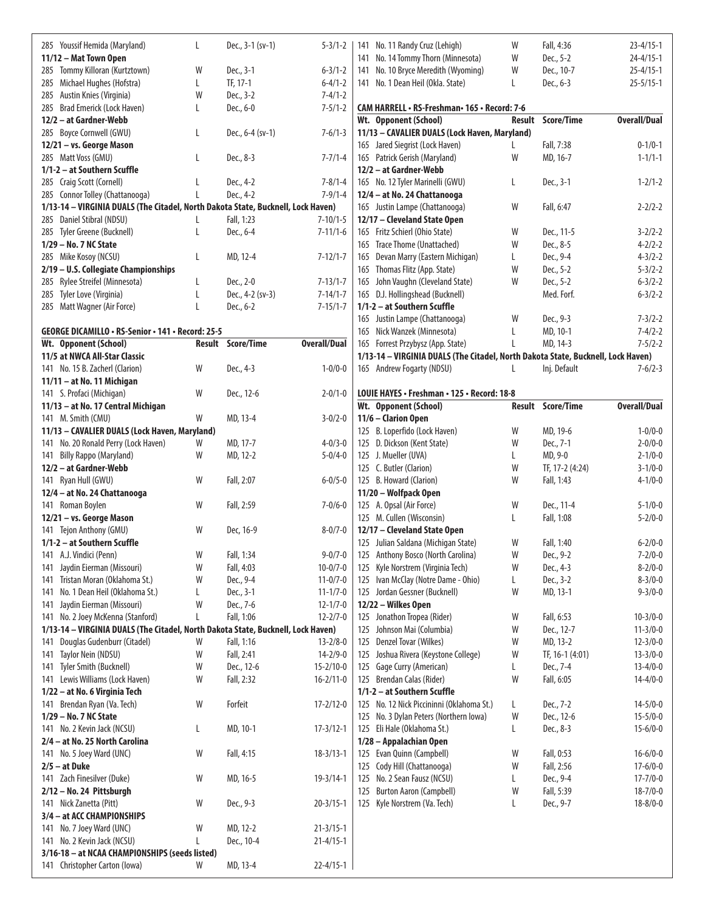| 285 Youssif Hemida (Maryland)                                                    | L | Dec., 3-1 (sv-1)         | $5 - 3/1 - 2$                     |     | 141 No. 11 Randy Cruz (Lehigh)                                                   | W  | Fall, 4:36               | $23 - 4/15 - 1$                  |
|----------------------------------------------------------------------------------|---|--------------------------|-----------------------------------|-----|----------------------------------------------------------------------------------|----|--------------------------|----------------------------------|
| 11/12 - Mat Town Open                                                            |   |                          |                                   |     | 141 No. 14 Tommy Thorn (Minnesota)                                               | W  | Dec., 5-2                | $24 - 4/15 - 1$                  |
| 285 Tommy Killoran (Kurtztown)                                                   | W | Dec., 3-1                | $6 - 3/1 - 2$                     |     | 141 No. 10 Bryce Meredith (Wyoming)                                              | W  | Dec., 10-7               | $25 - 4/15 - 1$                  |
| 285 Michael Hughes (Hofstra)                                                     | L | TF, 17-1                 | $6 - 4/1 - 2$                     |     | 141 No. 1 Dean Heil (Okla. State)                                                | L  | Dec., 6-3                | $25 - 5/15 - 1$                  |
| 285 Austin Knies (Virginia)                                                      | W | Dec., 3-2                | $7 - 4/1 - 2$                     |     |                                                                                  |    |                          |                                  |
| 285 Brad Emerick (Lock Haven)                                                    | L | Dec., 6-0                | $7 - 5/1 - 2$                     |     | CAM HARRELL • RS-Freshman• 165 • Record: 7-6                                     |    |                          |                                  |
| 12/2 - at Gardner-Webb                                                           |   |                          |                                   |     | Wt. Opponent (School)                                                            |    | <b>Result Score/Time</b> | <b>Overall/Dual</b>              |
| 285 Boyce Cornwell (GWU)                                                         | L | Dec., $6-4$ (sv-1)       | $7 - 6/1 - 3$                     |     | 11/13 - CAVALIER DUALS (Lock Haven, Maryland)                                    |    |                          |                                  |
| 12/21 - vs. George Mason                                                         |   |                          |                                   |     | 165 Jared Siegrist (Lock Haven)                                                  |    | Fall, 7:38               | $0 - 1/0 - 1$                    |
| 285 Matt Voss (GMU)                                                              | L | Dec., 8-3                | $7 - 7/1 - 4$                     |     | 165 Patrick Gerish (Maryland)                                                    | W  | MD, 16-7                 | $1 - 1/1 - 1$                    |
| 1/1-2 - at Southern Scuffle                                                      |   |                          |                                   |     | 12/2 - at Gardner-Webb                                                           |    |                          |                                  |
| 285 Craig Scott (Cornell)                                                        |   | Dec., 4-2                | $7 - 8/1 - 4$                     |     | 165 No. 12 Tyler Marinelli (GWU)                                                 | L  | Dec., 3-1                | $1 - 2/1 - 2$                    |
| 285 Connor Tolley (Chattanooga)                                                  |   | Dec., 4-2                | $7-9/1-4$                         |     | 12/4 - at No. 24 Chattanooga                                                     |    |                          |                                  |
| 1/13-14 - VIRGINIA DUALS (The Citadel, North Dakota State, Bucknell, Lock Haven) |   |                          |                                   |     | 165 Justin Lampe (Chattanooga)                                                   | W  | Fall, 6:47               | $2 - 2/2 - 2$                    |
| 285 Daniel Stibral (NDSU)                                                        |   | Fall, 1:23               | $7 - 10/1 - 5$                    |     | 12/17 - Cleveland State Open                                                     |    |                          |                                  |
| 285 Tyler Greene (Bucknell)                                                      | L | Dec., 6-4                | $7 - 11/1 - 6$                    |     | 165 Fritz Schierl (Ohio State)                                                   | W  | Dec., 11-5               | $3 - 2/2 - 2$                    |
| 1/29 - No. 7 NC State                                                            |   |                          |                                   |     | 165 Trace Thome (Unattached)                                                     | W  | Dec., 8-5                | $4 - 2/2 - 2$                    |
| 285 Mike Kosoy (NCSU)                                                            | L | MD, 12-4                 | $7 - 12/1 - 7$                    |     | 165 Devan Marry (Eastern Michigan)                                               | L  | Dec., 9-4                | $4 - 3/2 - 2$                    |
| 2/19 - U.S. Collegiate Championships                                             |   |                          |                                   |     | 165 Thomas Flitz (App. State)                                                    | W  | Dec., 5-2                | $5 - 3/2 - 2$                    |
| 285 Rylee Streifel (Minnesota)                                                   | L | Dec., 2-0                | $7 - 13/1 - 7$                    |     | 165 John Vaughn (Cleveland State)                                                | W  | Dec., 5-2                | $6 - 3/2 - 2$                    |
| 285 Tyler Love (Virginia)                                                        | L | Dec., 4-2 (sv-3)         | $7 - 14/1 - 7$                    |     | 165 D.J. Hollingshead (Bucknell)                                                 |    | Med. Forf.               | $6 - 3/2 - 2$                    |
| 285 Matt Wagner (Air Force)                                                      | L | Dec., 6-2                | $7 - 15/1 - 7$                    |     | 1/1-2 - at Southern Scuffle                                                      |    |                          |                                  |
|                                                                                  |   |                          |                                   |     | 165 Justin Lampe (Chattanooga)                                                   | W  | Dec., 9-3                | $7 - 3/2 - 2$                    |
| GEORGE DICAMILLO · RS-Senior · 141 · Record: 25-5                                |   |                          |                                   |     | 165 Nick Wanzek (Minnesota)                                                      | L  | MD, 10-1                 | $7 - 4/2 - 2$                    |
| Wt. Opponent (School)                                                            |   | Result Score/Time        | <b>Overall/Dual</b>               |     | 165 Forrest Przybysz (App. State)                                                |    | MD, 14-3                 | $7 - 5/2 - 2$                    |
| 11/5 at NWCA All-Star Classic                                                    |   |                          |                                   |     | 1/13-14 - VIRGINIA DUALS (The Citadel, North Dakota State, Bucknell, Lock Haven) |    |                          |                                  |
| 141 No. 15 B. Zacherl (Clarion)                                                  | W | Dec., 4-3                | $1 - 0/0 - 0$                     |     | 165 Andrew Fogarty (NDSU)                                                        | L  | Inj. Default             | $7 - 6/2 - 3$                    |
| $11/11 - at No. 11$ Michigan                                                     |   |                          |                                   |     |                                                                                  |    |                          |                                  |
| 141 S. Profaci (Michigan)                                                        | W | Dec., 12-6               | $2 - 0/1 - 0$                     |     | LOUIE HAYES · Freshman · 125 · Record: 18-8                                      |    |                          |                                  |
| 11/13 - at No. 17 Central Michigan                                               |   |                          |                                   |     | Wt. Opponent (School)                                                            |    | Result Score/Time        | <b>Overall/Dual</b>              |
| 141 M. Smith (CMU)                                                               | W | MD, 13-4                 | $3 - 0/2 - 0$                     |     | 11/6 - Clarion Open                                                              |    |                          |                                  |
| 11/13 - CAVALIER DUALS (Lock Haven, Maryland)                                    |   |                          |                                   |     | 125 B. Loperfido (Lock Haven)                                                    | W  | MD, 19-6                 | $1 - 0/0 - 0$                    |
| 141 No. 20 Ronald Perry (Lock Haven)                                             | W | MD, 17-7                 | $4 - 0/3 - 0$                     |     | 125 D. Dickson (Kent State)                                                      | W  | Dec., 7-1                | $2 - 0/0 - 0$                    |
| 141 Billy Rappo (Maryland)                                                       | W | MD, 12-2                 | $5 - 0/4 - 0$                     |     | 125 J. Mueller (UVA)                                                             | L. | MD, 9-0                  | $2 - 1/0 - 0$                    |
| 12/2 - at Gardner-Webb                                                           |   |                          |                                   |     | 125 C. Butler (Clarion)                                                          | W  | TF, 17-2 (4:24)          | $3 - 1/0 - 0$                    |
| 141 Ryan Hull (GWU)                                                              | W | Fall, 2:07               | $6 - 0/5 - 0$                     |     | 125 B. Howard (Clarion)                                                          | W  | Fall, 1:43               | $4 - 1/0 - 0$                    |
| 12/4 - at No. 24 Chattanooga                                                     |   |                          |                                   |     | 11/20 - Wolfpack Open                                                            |    |                          |                                  |
| 141 Roman Boylen                                                                 | W | Fall, 2:59               | $7 - 0/6 - 0$                     |     | 125 A. Opsal (Air Force)                                                         | W  | Dec., 11-4               | $5 - 1/0 - 0$                    |
| 12/21 - vs. George Mason                                                         |   |                          |                                   |     | 125 M. Cullen (Wisconsin)                                                        | L  | Fall, 1:08               | $5 - 2/0 - 0$                    |
| 141 Tejon Anthony (GMU)                                                          | W | Dec, 16-9                | $8 - 0/7 - 0$                     |     | 12/17 - Cleveland State Open                                                     |    |                          |                                  |
| 1/1-2 - at Southern Scuffle                                                      |   |                          |                                   |     | 125 Julian Saldana (Michigan State)                                              | W  | Fall, 1:40               | $6 - 2/0 - 0$                    |
| 141 A.J. Vindici (Penn)                                                          | W | Fall, 1:34               | $9 - 0/7 - 0$                     |     | 125 Anthony Bosco (North Carolina)                                               | W  | Dec., 9-2                | $7 - 2/0 - 0$                    |
| 141 Jaydin Eierman (Missouri)                                                    | W | Fall, 4:03               | $10 - 0/7 - 0$                    |     | 125 Kyle Norstrem (Virginia Tech)                                                | W  | Dec., 4-3                | $8 - 2/0 - 0$                    |
| 141 Tristan Moran (Oklahoma St.)                                                 | W | Dec., 9-4                | $11 - 0/7 - 0$                    |     | 125 Ivan McClay (Notre Dame - Ohio)                                              | L  | Dec., 3-2                | $8 - 3/0 - 0$                    |
| No. 1 Dean Heil (Oklahoma St.)<br>141                                            | L | Dec., 3-1                | $11 - 1/7 - 0$                    |     | 125 Jordan Gessner (Bucknell)                                                    | W  | MD, 13-1                 | $9 - 3/0 - 0$                    |
| Jaydin Eierman (Missouri)<br>141                                                 | W | Dec., 7-6                | $12 - 1/7 - 0$                    |     | 12/22 - Wilkes Open                                                              |    |                          |                                  |
| 141 No. 2 Joey McKenna (Stanford)                                                | L | Fall, 1:06               | $12 - 2/7 - 0$                    |     | 125 Jonathon Tropea (Rider)                                                      | W  | Fall, 6:53               | $10 - 3/0 - 0$                   |
| 1/13-14 - VIRGINIA DUALS (The Citadel, North Dakota State, Bucknell, Lock Haven) |   |                          |                                   | 125 | Johnson Mai (Columbia)                                                           | W  | Dec., 12-7               | $11 - 3/0 - 0$                   |
|                                                                                  | W | Fall, 1:16               | $13 - 2/8 - 0$                    |     | 125 Denzel Tovar (Wilkes)                                                        | W  | MD, 13-2                 | $12 - 3/0 - 0$                   |
| 141 Douglas Gudenburr (Citadel)                                                  |   |                          |                                   |     |                                                                                  |    | TF, 16-1 (4:01)          |                                  |
| Taylor Nein (NDSU)<br>141                                                        | W | Fall, 2:41<br>Dec., 12-6 | $14 - 2/9 - 0$<br>$15 - 2/10 - 0$ |     | 125 Joshua Rivera (Keystone College)<br>125 Gage Curry (American)                | W  | Dec., 7-4                | $13 - 3/0 - 0$<br>$13 - 4/0 - 0$ |
| Tyler Smith (Bucknell)<br>141                                                    | W |                          |                                   |     |                                                                                  | L  |                          |                                  |
| 141 Lewis Williams (Lock Haven)                                                  | W | Fall, 2:32               | $16 - 2/11 - 0$                   |     | 125 Brendan Calas (Rider)                                                        | W  | Fall, 6:05               | $14 - 4/0 - 0$                   |
| 1/22 – at No. 6 Virginia Tech                                                    |   |                          |                                   |     | 1/1-2 - at Southern Scuffle                                                      |    |                          |                                  |
| 141 Brendan Ryan (Va. Tech)                                                      | W | Forfeit                  | $17 - 2/12 - 0$                   |     | 125 No. 12 Nick Piccininni (Oklahoma St.)                                        | L  | Dec., 7-2                | $14 - 5/0 - 0$                   |
| 1/29 - No. 7 NC State                                                            |   |                          |                                   |     | 125 No. 3 Dylan Peters (Northern Iowa)                                           | W  | Dec., 12-6               | $15 - 5/0 - 0$                   |
| 141 No. 2 Kevin Jack (NCSU)                                                      | L | MD, 10-1                 | $17 - 3/12 - 1$                   |     | 125 Eli Hale (Oklahoma St.)                                                      | L  | Dec., 8-3                | $15 - 6/0 - 0$                   |
| 2/4 - at No. 25 North Carolina                                                   |   |                          |                                   |     | 1/28 - Appalachian Open                                                          |    |                          |                                  |
| 141 No. 5 Joey Ward (UNC)                                                        | W | Fall, 4:15               | $18 - 3/13 - 1$                   |     | 125 Evan Quinn (Campbell)                                                        | W  | Fall, 0:53               | $16 - 6/0 - 0$                   |
| $2/5 - at Duke$                                                                  |   |                          |                                   |     | 125 Cody Hill (Chattanooga)                                                      | W  | Fall, 2:56               | $17 - 6/0 - 0$                   |
| 141 Zach Finesilver (Duke)                                                       | W | MD, 16-5                 | $19 - 3/14 - 1$                   |     | 125 No. 2 Sean Fausz (NCSU)                                                      | L  | Dec., 9-4                | $17 - 7/0 - 0$                   |
| $2/12 - No. 24$ Pittsburgh                                                       |   |                          |                                   |     | 125 Burton Aaron (Campbell)                                                      | W  | Fall, 5:39               | $18 - 7/0 - 0$                   |
| 141 Nick Zanetta (Pitt)                                                          | W | Dec., 9-3                | $20 - 3/15 - 1$                   |     | 125 Kyle Norstrem (Va. Tech)                                                     | L  | Dec., 9-7                | $18 - 8/0 - 0$                   |
| 3/4 - at ACC CHAMPIONSHIPS                                                       |   |                          |                                   |     |                                                                                  |    |                          |                                  |
| 141 No. 7 Joey Ward (UNC)                                                        | W | MD, 12-2                 | $21 - 3/15 - 1$                   |     |                                                                                  |    |                          |                                  |
| 141 No. 2 Kevin Jack (NCSU)                                                      | L | Dec., 10-4               | $21 - 4/15 - 1$                   |     |                                                                                  |    |                          |                                  |
| 3/16-18 - at NCAA CHAMPIONSHIPS (seeds listed)                                   |   |                          |                                   |     |                                                                                  |    |                          |                                  |
| 141 Christopher Carton (Iowa)                                                    | W | MD, 13-4                 | $22 - 4/15 - 1$                   |     |                                                                                  |    |                          |                                  |
|                                                                                  |   |                          |                                   |     |                                                                                  |    |                          |                                  |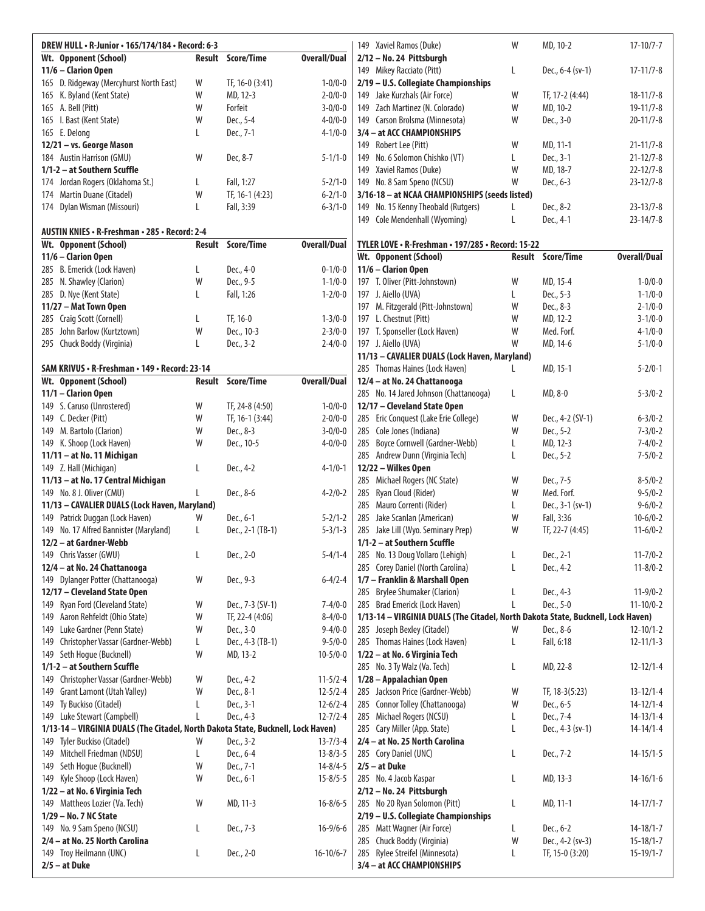| DREW HULL · R-Junior · 165/174/184 · Record: 6-3                                 |        |                                    |                     |     | 149 Xaviel Ramos (Duke)                                                          | W | MD, 10-2                 | $17-10/7-7$         |
|----------------------------------------------------------------------------------|--------|------------------------------------|---------------------|-----|----------------------------------------------------------------------------------|---|--------------------------|---------------------|
| Wt. Opponent (School)                                                            | Result | Score/Time                         | <b>Overall/Dual</b> |     | 2/12 - No. 24 Pittsburgh                                                         |   |                          |                     |
| 11/6 - Clarion Open                                                              |        |                                    |                     |     | 149 Mikey Racciato (Pitt)                                                        | L | Dec., 6-4 (sv-1)         | $17-11/7-8$         |
| 165 D. Ridgeway (Mercyhurst North East)                                          | W      | TF, 16-0 (3:41)                    | $1 - 0/0 - 0$       |     | 2/19 - U.S. Collegiate Championships                                             |   |                          |                     |
| 165 K. Byland (Kent State)                                                       | W      | MD, 12-3                           | $2 - 0/0 - 0$       |     | 149 Jake Kurzhals (Air Force)                                                    | W | TF, 17-2 (4:44)          | $18 - 11/7 - 8$     |
| 165 A. Bell (Pitt)                                                               | W      | Forfeit                            | $3 - 0/0 - 0$       |     | 149 Zach Martinez (N. Colorado)                                                  | W | MD, 10-2                 | $19-11/7-8$         |
| 165 I. Bast (Kent State)                                                         | W      | Dec., 5-4                          | $4 - 0/0 - 0$       |     | 149 Carson Brolsma (Minnesota)                                                   | W | Dec., 3-0                | $20 - 11/7 - 8$     |
| 165 E. Delong<br>12/21 - vs. George Mason                                        | L      | Dec., 7-1                          | $4 - 1/0 - 0$       |     | 3/4 - at ACC CHAMPIONSHIPS<br>149 Robert Lee (Pitt)                              | W | MD, 11-1                 | $21 - 11/7 - 8$     |
| 184 Austin Harrison (GMU)                                                        | W      | Dec, 8-7                           | $5 - 1/1 - 0$       | 149 | No. 6 Solomon Chishko (VT)                                                       | L | Dec., 3-1                | $21 - 12/7 - 8$     |
| 1/1-2 - at Southern Scuffle                                                      |        |                                    |                     |     | 149 Xaviel Ramos (Duke)                                                          | W | MD, 18-7                 | $22 - 12/7 - 8$     |
| 174 Jordan Rogers (Oklahoma St.)                                                 | L      | Fall, 1:27                         | $5 - 2/1 - 0$       |     | 149 No. 8 Sam Speno (NCSU)                                                       | W | Dec., 6-3                | $23 - 12/7 - 8$     |
| 174 Martin Duane (Citadel)                                                       | W      | TF, 16-1 (4:23)                    | $6 - 2/1 - 0$       |     | 3/16-18 - at NCAA CHAMPIONSHIPS (seeds listed)                                   |   |                          |                     |
| 174 Dylan Wisman (Missouri)                                                      | L      | Fall, 3:39                         | $6 - 3/1 - 0$       |     | 149 No. 15 Kenny Theobald (Rutgers)                                              | L | Dec., 8-2                | $23 - 13/7 - 8$     |
|                                                                                  |        |                                    |                     |     | 149 Cole Mendenhall (Wyoming)                                                    | L | Dec., 4-1                | $23 - 14/7 - 8$     |
| AUSTIN KNIES • R-Freshman • 285 • Record: 2-4                                    |        |                                    |                     |     |                                                                                  |   |                          |                     |
| Wt. Opponent (School)                                                            | Result | Score/Time                         | <b>Overall/Dual</b> |     | TYLER LOVE • R-Freshman • 197/285 • Record: 15-22                                |   |                          |                     |
| 11/6 - Clarion Open                                                              |        |                                    |                     |     | Wt. Opponent (School)                                                            |   | <b>Result Score/Time</b> | <b>Overall/Dual</b> |
| 285 B. Emerick (Lock Haven)                                                      | L      | Dec., 4-0                          | $0 - 1/0 - 0$       |     | 11/6 - Clarion Open                                                              |   |                          |                     |
| 285 N. Shawley (Clarion)                                                         | W      | Dec., 9-5                          | $1 - 1/0 - 0$       |     | 197 T. Oliver (Pitt-Johnstown)                                                   | W | MD, 15-4                 | $1 - 0/0 - 0$       |
| 285 D. Nye (Kent State)                                                          | L      | Fall, 1:26                         | $1 - 2/0 - 0$       |     | 197 J. Aiello (UVA)                                                              | L | Dec., 5-3                | $1 - 1/0 - 0$       |
| 11/27 - Mat Town Open                                                            |        |                                    |                     |     | 197 M. Fitzgerald (Pitt-Johnstown)                                               | W | Dec., 8-3                | $2 - 1/0 - 0$       |
| 285 Craig Scott (Cornell)                                                        | L      | TF, 16-0                           | $1 - 3/0 - 0$       |     | 197 L. Chestnut (Pitt)                                                           | W | MD, 12-2                 | $3 - 1/0 - 0$       |
| 285 John Barlow (Kurtztown)                                                      | W      | Dec., 10-3                         | $2 - 3/0 - 0$       |     | 197 T. Sponseller (Lock Haven)                                                   | W | Med. Forf.               | $4 - 1/0 - 0$       |
| 295 Chuck Boddy (Virginia)                                                       | L      | Dec., 3-2                          | $2 - 4/0 - 0$       |     | 197 J. Aiello (UVA)                                                              | W | MD, 14-6                 | $5 - 1/0 - 0$       |
|                                                                                  |        |                                    |                     |     | 11/13 - CAVALIER DUALS (Lock Haven, Maryland)                                    |   |                          |                     |
| SAM KRIVUS • R-Freshman • 149 • Record: 23-14                                    |        |                                    |                     |     | 285 Thomas Haines (Lock Haven)                                                   | L | MD, 15-1                 | $5 - 2/0 - 1$       |
| Wt. Opponent (School)                                                            | Result | <b>Score/Time</b>                  | <b>Overall/Dual</b> |     | 12/4 - at No. 24 Chattanooga                                                     |   |                          |                     |
| 11/1 - Clarion Open                                                              | W      |                                    | $1 - 0/0 - 0$       |     | 285 No. 14 Jared Johnson (Chattanooga)                                           | L | MD, 8-0                  | $5 - 3/0 - 2$       |
| 149 S. Caruso (Unrostered)<br>149 C. Decker (Pitt)                               | W      | TF, 24-8 (4:50)<br>TF, 16-1 (3:44) | $2 - 0/0 - 0$       |     | 12/17 - Cleveland State Open<br>285 Eric Conquest (Lake Erie College)            | W | Dec., 4-2 (SV-1)         | $6 - 3/0 - 2$       |
| 149 M. Bartolo (Clarion)                                                         | W      | Dec., 8-3                          | $3 - 0/0 - 0$       |     | 285 Cole Jones (Indiana)                                                         | W | Dec., 5-2                | $7 - 3/0 - 2$       |
| 149 K. Shoop (Lock Haven)                                                        | W      | Dec., 10-5                         | $4 - 0/0 - 0$       |     | 285 Boyce Cornwell (Gardner-Webb)                                                | L | MD, 12-3                 | $7 - 4/0 - 2$       |
| 11/11 - at No. 11 Michigan                                                       |        |                                    |                     |     | 285 Andrew Dunn (Virginia Tech)                                                  | L | Dec., 5-2                | $7 - 5/0 - 2$       |
| 149 Z. Hall (Michigan)                                                           | L      | Dec., 4-2                          | $4 - 1/0 - 1$       |     | 12/22 - Wilkes Open                                                              |   |                          |                     |
| 11/13 - at No. 17 Central Michigan                                               |        |                                    |                     |     | 285 Michael Rogers (NC State)                                                    | W | Dec., 7-5                | $8 - 5/0 - 2$       |
| 149 No. 8 J. Oliver (CMU)                                                        |        | Dec., 8-6                          | $4 - 2/0 - 2$       |     | 285 Ryan Cloud (Rider)                                                           | W | Med. Forf.               | $9 - 5/0 - 2$       |
| 11/13 - CAVALIER DUALS (Lock Haven, Maryland)                                    |        |                                    |                     |     | 285 Mauro Correnti (Rider)                                                       | L | Dec., 3-1 (sv-1)         | $9 - 6/0 - 2$       |
| 149 Patrick Duggan (Lock Haven)                                                  | W      | Dec., 6-1                          | $5 - 2/1 - 2$       |     | 285 Jake Scanlan (American)                                                      | W | Fall, 3:36               | $10 - 6/0 - 2$      |
| 149 No. 17 Alfred Bannister (Maryland)                                           | L      | Dec., 2-1 (TB-1)                   | $5 - 3/1 - 3$       |     | 285 Jake Lill (Wyo. Seminary Prep)                                               | W | TF, 22-7 (4:45)          | $11-6/0-2$          |
| 12/2 - at Gardner-Webb                                                           |        |                                    |                     |     | 1/1-2 - at Southern Scuffle                                                      |   |                          |                     |
| 149 Chris Vasser (GWU)                                                           | L      | Dec., 2-0                          | $5 - 4/1 - 4$       |     | 285 No. 13 Doug Vollaro (Lehigh)                                                 | L | Dec., 2-1                | $11 - 7/0 - 2$      |
| 12/4 - at No. 24 Chattanooga                                                     |        |                                    |                     |     | 285 Corey Daniel (North Carolina)                                                | L | Dec., 4-2                | $11 - 8/0 - 2$      |
| 149 Dylanger Potter (Chattanooga)                                                | W      | Dec., 9-3                          | $6 - 4/2 - 4$       |     | 1/7 - Franklin & Marshall Open                                                   |   |                          |                     |
| 12/17 - Cleveland State Open                                                     |        |                                    |                     |     | 285 Brylee Shumaker (Clarion)                                                    | L | Dec., 4-3                | $11-9/0-2$          |
| 149 Ryan Ford (Cleveland State)                                                  | W      | Dec., 7-3 (SV-1)                   | $7 - 4/0 - 0$       |     | 285 Brad Emerick (Lock Haven)                                                    | L | Dec., 5-0                | $11 - 10/0 - 2$     |
| Aaron Rehfeldt (Ohio State)<br>149                                               | W      | TF, 22-4 (4:06)                    | $8 - 4/0 - 0$       |     | 1/13-14 - VIRGINIA DUALS (The Citadel, North Dakota State, Bucknell, Lock Haven) |   |                          |                     |
| Luke Gardner (Penn State)<br>149                                                 | W      | Dec., 3-0                          | $9 - 4/0 - 0$       |     | 285 Joseph Bexley (Citadel)                                                      | W | Dec., 8-6                | $12 - 10/1 - 2$     |
| 149 Christopher Vassar (Gardner-Webb)                                            | L<br>W | Dec., 4-3 (TB-1)                   | $9 - 5/0 - 0$       |     | 285 Thomas Haines (Lock Haven)                                                   | L | Fall, 6:18               | $12 - 11/1 - 3$     |
| Seth Hogue (Bucknell)<br>149<br>1/1-2 - at Southern Scuffle                      |        | MD, 13-2                           | $10 - 5/0 - 0$      |     | 1/22 - at No. 6 Virginia Tech<br>285 No. 3 Ty Walz (Va. Tech)                    | L | MD, 22-8                 | $12 - 12/1 - 4$     |
| 149 Christopher Vassar (Gardner-Webb)                                            | W      | Dec., 4-2                          | $11-5/2-4$          |     | 1/28 - Appalachian Open                                                          |   |                          |                     |
| Grant Lamont (Utah Valley)<br>149                                                | W      | Dec., 8-1                          | $12 - 5/2 - 4$      |     | 285 Jackson Price (Gardner-Webb)                                                 | W | TF, 18-3(5:23)           | $13 - 12/1 - 4$     |
| Ty Buckiso (Citadel)<br>149                                                      | L      | Dec., 3-1                          | $12 - 6/2 - 4$      |     | 285 Connor Tolley (Chattanooga)                                                  | W | Dec., 6-5                | $14 - 12/1 - 4$     |
| 149 Luke Stewart (Campbell)                                                      | L      | Dec., 4-3                          | $12 - 7/2 - 4$      |     | 285 Michael Rogers (NCSU)                                                        | L | Dec., 7-4                | $14 - 13/1 - 4$     |
| 1/13-14 - VIRGINIA DUALS (The Citadel, North Dakota State, Bucknell, Lock Haven) |        |                                    |                     |     | 285 Cary Miller (App. State)                                                     | L | Dec., 4-3 (sv-1)         | $14 - 14/1 - 4$     |
| Tyler Buckiso (Citadel)<br>149                                                   | W      | Dec., 3-2                          | $13 - 7/3 - 4$      |     | 2/4 - at No. 25 North Carolina                                                   |   |                          |                     |
| Mitchell Friedman (NDSU)<br>149                                                  | L      | Dec., 6-4                          | $13 - 8/3 - 5$      |     | 285 Cory Daniel (UNC)                                                            | L | Dec., 7-2                | $14 - 15/1 - 5$     |
| Seth Hogue (Bucknell)<br>149                                                     | W      | Dec., 7-1                          | $14 - 8/4 - 5$      |     | $2/5 - at Duke$                                                                  |   |                          |                     |
| Kyle Shoop (Lock Haven)<br>149                                                   | W      | Dec., 6-1                          | $15 - 8/5 - 5$      |     | 285 No. 4 Jacob Kaspar                                                           | L | MD, 13-3                 | $14 - 16/1 - 6$     |
| 1/22 - at No. 6 Virginia Tech                                                    |        |                                    |                     |     | 2/12 - No. 24 Pittsburgh                                                         |   |                          |                     |
| 149 Mattheos Lozier (Va. Tech)                                                   | W      | MD, 11-3                           | $16 - 8/6 - 5$      |     | 285 No 20 Ryan Solomon (Pitt)                                                    | L | MD, 11-1                 | $14 - 17/1 - 7$     |
| 1/29 - No. 7 NC State                                                            |        |                                    |                     |     | 2/19 - U.S. Collegiate Championships                                             |   |                          |                     |
| 149 No. 9 Sam Speno (NCSU)                                                       | L      | Dec., 7-3                          | $16 - 9/6 - 6$      |     | 285 Matt Wagner (Air Force)                                                      | L | Dec., 6-2                | $14 - 18/1 - 7$     |
| 2/4 - at No. 25 North Carolina                                                   |        |                                    |                     |     | 285 Chuck Boddy (Virginia)                                                       | W | Dec., 4-2 (sv-3)         | $15 - 18/1 - 7$     |
| 149 Troy Heilmann (UNC)                                                          | L      | Dec., 2-0                          | $16-10/6-7$         | 285 | Rylee Streifel (Minnesota)                                                       | L | TF, 15-0 (3:20)          | $15-19/1-7$         |
| $2/5 - at Duke$                                                                  |        |                                    |                     |     | 3/4 - at ACC CHAMPIONSHIPS                                                       |   |                          |                     |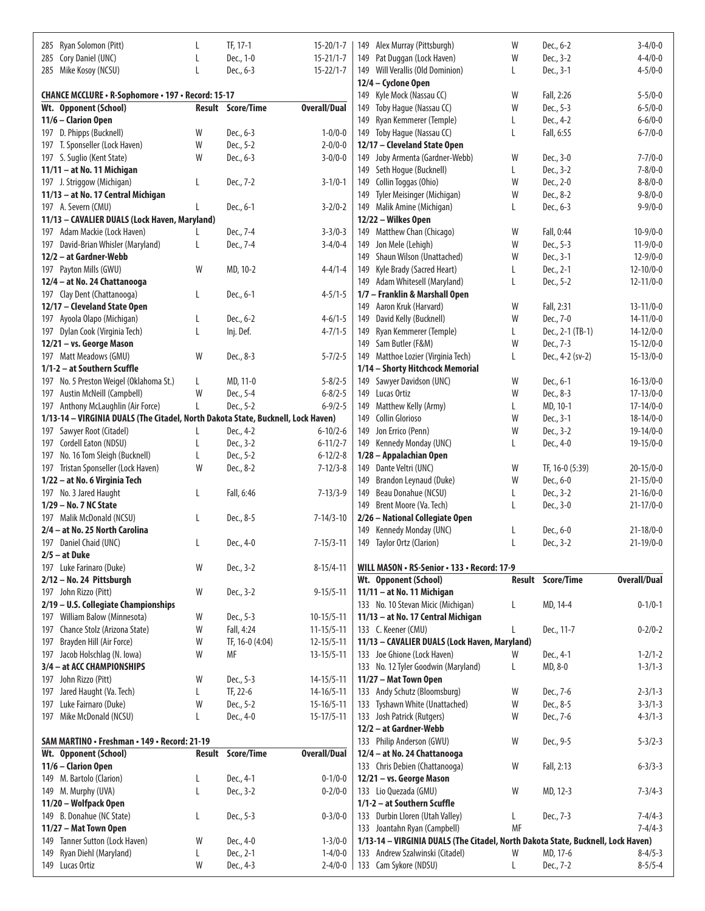| 285 Ryan Solomon (Pitt)                                                          | L      | TF, 17-1                 | $15 - 20/1 - 7$                | 149 Alex Murray (Pittsburgh)                                                     | W  | Dec., 6-2             | $3-4/0-0$                      |
|----------------------------------------------------------------------------------|--------|--------------------------|--------------------------------|----------------------------------------------------------------------------------|----|-----------------------|--------------------------------|
| 285 Cory Daniel (UNC)                                                            | L      | Dec., 1-0                | $15 - 21/1 - 7$                | Pat Duggan (Lock Haven)<br>149                                                   | W  | Dec., 3-2             | $4 - 4/0 - 0$                  |
| 285 Mike Kosoy (NCSU)                                                            | L      | Dec., 6-3                | $15 - 22/1 - 7$                | 149 Will Verallis (Old Dominion)                                                 | L  | Dec., 3-1             | $4 - 5/0 - 0$                  |
|                                                                                  |        |                          |                                | 12/4 - Cyclone Open                                                              |    |                       |                                |
| <b>CHANCE MCCLURE · R-Sophomore · 197 · Record: 15-17</b>                        |        |                          |                                | Kyle Mock (Nassau CC)<br>149                                                     | W  | Fall, 2:26            | $5 - 5/0 - 0$                  |
| Wt. Opponent (School)                                                            |        | <b>Result Score/Time</b> | <b>Overall/Dual</b>            | 149<br>Toby Hague (Nassau CC)                                                    | W  | Dec., 5-3             | $6 - 5/0 - 0$                  |
| 11/6 - Clarion Open                                                              |        |                          |                                | Ryan Kemmerer (Temple)<br>149                                                    | L  | Dec., 4-2             | $6 - 6/0 - 0$                  |
| 197 D. Phipps (Bucknell)                                                         | W      | Dec., 6-3                | $1 - 0/0 - 0$                  | Toby Hague (Nassau CC)<br>149                                                    | L  | Fall, 6:55            | $6 - 7/0 - 0$                  |
| 197 T. Sponseller (Lock Haven)                                                   | W      | Dec., 5-2                | $2 - 0/0 - 0$                  | 12/17 - Cleveland State Open                                                     |    |                       |                                |
| 197 S. Suglio (Kent State)                                                       | W      | Dec., 6-3                | $3 - 0/0 - 0$                  | 149 Joby Armenta (Gardner-Webb)                                                  | W  | Dec., 3-0             | $7 - 7/0 - 0$                  |
| 11/11 - at No. 11 Michigan                                                       |        |                          |                                | Seth Hogue (Bucknell)<br>149                                                     | L  | Dec., 3-2             | $7 - 8/0 - 0$                  |
| 197 J. Striggow (Michigan)                                                       | L      | Dec., 7-2                | $3 - 1/0 - 1$                  | Collin Toggas (Ohio)<br>149                                                      | W  | Dec., 2-0             | $8 - 8/0 - 0$                  |
| 11/13 - at No. 17 Central Michigan                                               |        |                          |                                | Tyler Meisinger (Michigan)<br>149                                                | W  | Dec., 8-2             | $9 - 8/0 - 0$                  |
| 197 A. Severn (CMU)                                                              |        | Dec., 6-1                | $3 - 2/0 - 2$                  | 149 Malik Amine (Michigan)                                                       | L  | Dec., 6-3             | $9 - 9/0 - 0$                  |
| 11/13 - CAVALIER DUALS (Lock Haven, Maryland)                                    |        |                          |                                | 12/22 - Wilkes Open                                                              |    |                       |                                |
| 197 Adam Mackie (Lock Haven)                                                     |        | Dec., 7-4                | $3 - 3/0 - 3$                  | Matthew Chan (Chicago)<br>149                                                    | W  | Fall, 0:44            | $10-9/0-0$                     |
| 197 David-Brian Whisler (Maryland)                                               | L      | Dec., 7-4                | $3-4/0-4$                      | 149<br>Jon Mele (Lehigh)                                                         | W  | Dec., 5-3             | $11-9/0-0$                     |
| 12/2 - at Gardner-Webb                                                           |        |                          |                                | Shaun Wilson (Unattached)<br>149                                                 | W  | Dec., 3-1             | $12 - 9/0 - 0$                 |
| 197 Payton Mills (GWU)                                                           | W      | MD, 10-2                 | $4 - 4/1 - 4$                  | Kyle Brady (Sacred Heart)<br>149                                                 | L  | Dec., 2-1             | $12 - 10/0 - 0$                |
| 12/4 - at No. 24 Chattanooga                                                     |        |                          |                                | 149 Adam Whitesell (Maryland)                                                    | L  | Dec., 5-2             | $12 - 11/0 - 0$                |
| 197 Clay Dent (Chattanooga)                                                      | L      | Dec., 6-1                | $4 - 5/1 - 5$                  | 1/7 - Franklin & Marshall Open                                                   |    |                       |                                |
| 12/17 - Cleveland State Open                                                     |        |                          |                                | 149<br>Aaron Kruk (Harvard)                                                      | W  | Fall, 2:31            | $13 - 11/0 - 0$                |
| 197 Ayoola Olapo (Michigan)                                                      | L      | Dec., 6-2                | $4 - 6/1 - 5$                  | David Kelly (Bucknell)<br>149                                                    | W  | Dec., 7-0             | $14 - 11/0 - 0$                |
| 197 Dylan Cook (Virginia Tech)                                                   | L      | Inj. Def.                | $4 - 7/1 - 5$                  | Ryan Kemmerer (Temple)<br>149                                                    | L  | Dec., 2-1 (TB-1)      | $14 - 12/0 - 0$                |
| 12/21 - vs. George Mason                                                         |        |                          |                                | Sam Butler (F&M)<br>149                                                          | W  | Dec., 7-3             | $15 - 12/0 - 0$                |
| 197 Matt Meadows (GMU)                                                           | W      | Dec., 8-3                | $5 - 7/2 - 5$                  | Matthoe Lozier (Virginia Tech)<br>149                                            | L  | Dec., 4-2 (sv-2)      | $15 - 13/0 - 0$                |
| 1/1-2 - at Southern Scuffle                                                      |        |                          |                                | 1/14 - Shorty Hitchcock Memorial                                                 |    |                       |                                |
| 197 No. 5 Preston Weigel (Oklahoma St.)                                          | L      | MD, 11-0                 | $5 - 8/2 - 5$                  | Sawyer Davidson (UNC)<br>149                                                     | W  | Dec., 6-1             | $16 - 13/0 - 0$                |
| 197 Austin McNeill (Campbell)                                                    | W      | Dec., 5-4                | $6 - 8/2 - 5$                  | 149 Lucas Ortiz                                                                  | W  | Dec., 8-3             | $17-13/0-0$                    |
| 197 Anthony McLaughlin (Air Force)                                               | L      | Dec., 5-2                | $6 - 9/2 - 5$                  | Matthew Kelly (Army)<br>149                                                      | L  | MD, 10-1              | $17 - 14/0 - 0$                |
| 1/13-14 - VIRGINIA DUALS (The Citadel, North Dakota State, Bucknell, Lock Haven) |        |                          |                                | 149<br>Collin Glorioso                                                           | W  | Dec., 3-1             | $18-14/0-0$                    |
| 197 Sawyer Root (Citadel)                                                        | L      | Dec., 4-2                | $6 - 10/2 - 6$                 | 149<br>Jon Errico (Penn)                                                         | W  | Dec., 3-2             | 19-14/0-0                      |
| 197 Cordell Eaton (NDSU)                                                         | L      | Dec., 3-2                | $6 - 11/2 - 7$                 | 149 Kennedy Monday (UNC)                                                         | L  | Dec., 4-0             | $19 - 15/0 - 0$                |
| No. 16 Tom Sleigh (Bucknell)<br>197                                              | L      | Dec., 5-2                | $6 - 12/2 - 8$                 | 1/28 - Appalachian Open                                                          |    |                       |                                |
| Tristan Sponseller (Lock Haven)<br>197                                           | W      | Dec., 8-2                | $7 - 12/3 - 8$                 | 149 Dante Veltri (UNC)                                                           | W  | TF, 16-0 (5:39)       | $20 - 15/0 - 0$                |
| 1/22 - at No. 6 Virginia Tech                                                    |        |                          |                                | 149<br>Brandon Leynaud (Duke)                                                    | W  | Dec., 6-0             | $21 - 15/0 - 0$                |
| 197 No. 3 Jared Haught                                                           | L      | Fall, 6:46               | $7 - 13/3 - 9$                 | Beau Donahue (NCSU)<br>149                                                       | L  | Dec., 3-2             | $21 - 16/0 - 0$                |
| 1/29 - No. 7 NC State                                                            |        |                          |                                | Brent Moore (Va. Tech)<br>149                                                    | L  | Dec., 3-0             | $21 - 17/0 - 0$                |
| 197 Malik McDonald (NCSU)                                                        | L      | Dec., 8-5                | $7 - 14/3 - 10$                | 2/26 - National Collegiate Open                                                  |    |                       |                                |
| 2/4 - at No. 25 North Carolina                                                   |        |                          |                                | Kennedy Monday (UNC)<br>149                                                      | L  | Dec., 6-0             | $21 - 18/0 - 0$                |
| 197 Daniel Chaid (UNC)                                                           | L      | Dec., 4-0                | $7 - 15/3 - 11$                | 149<br>Taylor Ortz (Clarion)                                                     | L  | Dec., 3-2             | $21 - 19/0 - 0$                |
| $2/5 - at Duke$                                                                  |        |                          |                                |                                                                                  |    |                       |                                |
| 197 Luke Farinaro (Duke)                                                         | W      | Dec., 3-2                | $8-15/4-11$                    | WILL MASON . RS-Senior . 133 . Record: 17-9                                      |    |                       |                                |
| 2/12 - No. 24 Pittsburgh                                                         |        |                          |                                | Wt. Opponent (School)                                                            |    | Result Score/Time     | <b>Overall/Dual</b>            |
| 197 John Rizzo (Pitt)                                                            | W      | Dec., 3-2                | $9 - 15/5 - 11$                | 11/11 - at No. 11 Michigan                                                       |    |                       |                                |
| 2/19 - U.S. Collegiate Championships                                             |        |                          |                                | 133 No. 10 Stevan Micic (Michigan)                                               | L  | MD, 14-4              | $0 - 1/0 - 1$                  |
| William Balow (Minnesota)<br>197                                                 | W      | Dec., 5-3                | $10-15/5-11$                   | 11/13 - at No. 17 Central Michigan                                               |    |                       |                                |
| Chance Stolz (Arizona State)<br>197                                              | W      | Fall, 4:24               | $11 - 15/5 - 11$               | 133 C. Keener (CMU)                                                              |    | Dec., 11-7            | $0 - 2/0 - 2$                  |
| Brayden Hill (Air Force)<br>197                                                  | W      | TF, 16-0 (4:04)          | $12 - 15/5 - 11$               | 11/13 - CAVALIER DUALS (Lock Haven, Maryland)                                    |    |                       |                                |
| Jacob Holschlag (N. Iowa)<br>197                                                 | W      | MF                       | $13 - 15/5 - 11$               | 133 Joe Ghione (Lock Haven)                                                      | W  | Dec., 4-1             | $1 - 2/1 - 2$                  |
| 3/4 - at ACC CHAMPIONSHIPS                                                       |        |                          |                                | 133 No. 12 Tyler Goodwin (Maryland)                                              | L  | MD, 8-0               | $1 - 3/1 - 3$                  |
| 197 John Rizzo (Pitt)                                                            | W      | Dec., 5-3                | $14 - 15/5 - 11$               | 11/27 - Mat Town Open                                                            |    |                       |                                |
| Jared Haught (Va. Tech)<br>197                                                   | L      | TF, 22-6                 | $14 - 16/5 - 11$               | 133 Andy Schutz (Bloomsburg)                                                     | W  | Dec., 7-6             | $2 - 3/1 - 3$                  |
| Luke Fairnaro (Duke)<br>197                                                      |        |                          |                                | 133 Tyshawn White (Unattached)                                                   |    |                       |                                |
| Mike McDonald (NCSU)<br>197                                                      | W      | Dec., 5-2                | $15 - 16/5 - 11$               |                                                                                  | W  | Dec., 8-5             | $3 - 3/1 - 3$                  |
|                                                                                  | L      | Dec., 4-0                | $15 - 17/5 - 11$               | 133 Josh Patrick (Rutgers)                                                       | W  | Dec., 7-6             | $4 - 3/1 - 3$                  |
|                                                                                  |        |                          |                                | 12/2 - at Gardner-Webb                                                           |    |                       |                                |
| SAM MARTINO · Freshman · 149 · Record: 21-19                                     |        |                          |                                | 133 Philip Anderson (GWU)                                                        | W  | Dec., 9-5             | $5 - 3/2 - 3$                  |
| Wt. Opponent (School)                                                            |        | Result Score/Time        | <b>Overall/Dual</b>            | 12/4 - at No. 24 Chattanooga                                                     |    |                       |                                |
| 11/6 - Clarion Open                                                              |        |                          |                                | 133 Chris Debien (Chattanooga)                                                   | W  | Fall, 2:13            | $6 - 3/3 - 3$                  |
| 149 M. Bartolo (Clarion)                                                         | L      | Dec., 4-1                | $0 - 1/0 - 0$                  | 12/21 - vs. George Mason                                                         |    |                       |                                |
| 149 M. Murphy (UVA)                                                              | L      | Dec., 3-2                | $0 - 2/0 - 0$                  | 133 Lio Quezada (GMU)                                                            | W  | MD, 12-3              | $7 - 3/4 - 3$                  |
| 11/20 - Wolfpack Open                                                            |        |                          |                                | 1/1-2 - at Southern Scuffle                                                      |    |                       |                                |
| 149 B. Donahue (NC State)                                                        | L      | Dec., 5-3                | $0 - 3/0 - 0$                  | 133 Durbin Lloren (Utah Valley)                                                  | L  | Dec., 7-3             | $7 - 4/4 - 3$                  |
| 11/27 - Mat Town Open                                                            |        |                          |                                | 133 Joantahn Ryan (Campbell)                                                     | MF |                       | $7 - 4/4 - 3$                  |
| 149 Tanner Sutton (Lock Haven)                                                   | W      | Dec., 4-0                | $1 - 3/0 - 0$                  | 1/13-14 - VIRGINIA DUALS (The Citadel, North Dakota State, Bucknell, Lock Haven) |    |                       |                                |
| 149 Ryan Diehl (Maryland)<br>149 Lucas Ortiz                                     | L<br>W | Dec., 2-1<br>Dec., 4-3   | $1 - 4/0 - 0$<br>$2 - 4/0 - 0$ | 133 Andrew Szalwinski (Citadel)<br>133 Cam Sykore (NDSU)                         | W  | MD, 17-6<br>Dec., 7-2 | $8 - 4/5 - 3$<br>$8 - 5/5 - 4$ |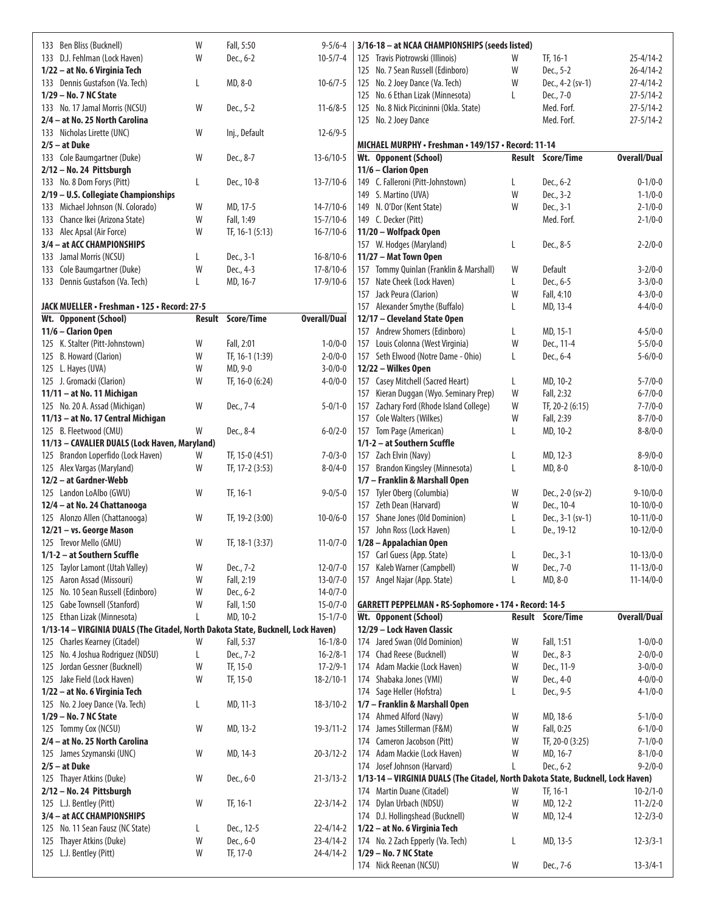| 133 Ben Bliss (Bucknell)                                                                                        | W  | Fall, 5:50               | $9 - 5/6 - 4$       | 3/16-18 - at NCAA CHAMPIONSHIPS (seeds listed)                                                                  |                                |
|-----------------------------------------------------------------------------------------------------------------|----|--------------------------|---------------------|-----------------------------------------------------------------------------------------------------------------|--------------------------------|
| 133 D.J. Fehlman (Lock Haven)                                                                                   | W  | Dec., 6-2                | $10-5/7-4$          | 125 Travis Piotrowski (Illinois)<br>TF, 16-1<br>$25 - 4/14 - 2$<br>W                                            |                                |
| 1/22 - at No. 6 Virginia Tech                                                                                   |    |                          |                     | Dec., 5-2<br>$26 - 4/14 - 2$<br>125 No. 7 Sean Russell (Edinboro)<br>W                                          |                                |
| 133 Dennis Gustafson (Va. Tech)                                                                                 | L  | MD, 8-0                  | $10-6/7-5$          | $27 - 4/14 - 2$<br>125 No. 2 Joey Dance (Va. Tech)<br>W<br>Dec., 4-2 (sv-1)                                     |                                |
| 1/29 - No. 7 NC State                                                                                           |    |                          |                     | 125 No. 6 Ethan Lizak (Minnesota)<br>$27 - 5/14 - 2$<br>L<br>Dec., 7-0                                          |                                |
| 133 No. 17 Jamal Morris (NCSU)                                                                                  | W  | Dec., 5-2                | $11-6/8-5$          | 125 No. 8 Nick Piccininni (Okla. State)<br>Med. Forf.<br>$27 - 5/14 - 2$                                        |                                |
| 2/4 - at No. 25 North Carolina                                                                                  |    |                          |                     | 125 No. 2 Joey Dance<br>Med. Forf.<br>$27 - 5/14 - 2$                                                           |                                |
| 133 Nicholas Lirette (UNC)                                                                                      | W  | Inj., Default            | $12-6/9-5$          |                                                                                                                 |                                |
| $2/5 - at Duke$                                                                                                 |    |                          |                     | MICHAEL MURPHY · Freshman · 149/157 · Record: 11-14                                                             |                                |
| 133 Cole Baumgartner (Duke)                                                                                     | W  | Dec., 8-7                | $13 - 6/10 - 5$     | <b>Overall/Dual</b><br><b>Result Score/Time</b><br>Wt. Opponent (School)<br>11/6 - Clarion Open                 |                                |
| 2/12 - No. 24 Pittsburgh<br>133 No. 8 Dom Forys (Pitt)                                                          | L  | Dec., 10-8               | $13 - 7/10 - 6$     | 149 C. Falleroni (Pitt-Johnstown)<br>L<br>Dec., 6-2                                                             | $0 - 1/0 - 0$                  |
| 2/19 - U.S. Collegiate Championships                                                                            |    |                          |                     | Dec., 3-2<br>149 S. Martino (UVA)<br>W                                                                          | $1 - 1/0 - 0$                  |
| 133 Michael Johnson (N. Colorado)                                                                               | W  | MD, 17-5                 | $14 - 7/10 - 6$     | W<br>Dec., 3-1<br>149 N. O'Dor (Kent State)                                                                     | $2 - 1/0 - 0$                  |
| 133 Chance Ikei (Arizona State)                                                                                 | W  | Fall, 1:49               | $15 - 7/10 - 6$     | Med. Forf.<br>149 C. Decker (Pitt)                                                                              | $2 - 1/0 - 0$                  |
| 133 Alec Apsal (Air Force)                                                                                      | W  | TF, 16-1 (5:13)          | $16 - 7/10 - 6$     | 11/20 - Wolfpack Open                                                                                           |                                |
| 3/4 - at ACC CHAMPIONSHIPS                                                                                      |    |                          |                     | 157 W. Hodges (Maryland)<br>Dec., 8-5<br>L                                                                      | $2 - 2/0 - 0$                  |
| 133 Jamal Morris (NCSU)                                                                                         | L  | Dec., 3-1                | $16 - 8/10 - 6$     | 11/27 - Mat Town Open                                                                                           |                                |
| Cole Baumgartner (Duke)<br>133                                                                                  | W  | Dec., 4-3                | $17 - 8/10 - 6$     | 157 Tommy Quinlan (Franklin & Marshall)<br>W<br>Default                                                         | $3 - 2/0 - 0$                  |
| 133 Dennis Gustafson (Va. Tech)                                                                                 | L  | MD, 16-7                 | 17-9/10-6           | Dec., 6-5<br>157 Nate Cheek (Lock Haven)<br>L                                                                   | $3 - 3/0 - 0$                  |
|                                                                                                                 |    |                          |                     | W<br>Fall, 4:10<br>157 Jack Peura (Clarion)                                                                     | $4 - 3/0 - 0$                  |
| JACK MUELLER • Freshman • 125 • Record: 27-5                                                                    |    |                          |                     | 157 Alexander Smythe (Buffalo)<br>MD, 13-4<br>L                                                                 | $4 - 4/0 - 0$                  |
| Wt. Opponent (School)                                                                                           |    | <b>Result Score/Time</b> | <b>Overall/Dual</b> | 12/17 - Cleveland State Open                                                                                    |                                |
| 11/6 - Clarion Open                                                                                             |    |                          |                     | 157 Andrew Shomers (Edinboro)<br>MD, 15-1<br>L                                                                  | $4 - 5/0 - 0$                  |
| 125 K. Stalter (Pitt-Johnstown)                                                                                 | W  | Fall, 2:01               | $1 - 0/0 - 0$       | W<br>Dec., 11-4<br>157 Louis Colonna (West Virginia)                                                            | $5 - 5/0 - 0$                  |
| 125 B. Howard (Clarion)                                                                                         | W  | TF, 16-1 (1:39)          | $2 - 0/0 - 0$       | 157 Seth Elwood (Notre Dame - Ohio)<br>L<br>Dec., 6-4                                                           | $5 - 6/0 - 0$                  |
| 125 L. Hayes (UVA)                                                                                              | W  | MD, 9-0                  | $3 - 0/0 - 0$       | 12/22 - Wilkes Open                                                                                             |                                |
| 125 J. Gromacki (Clarion)<br>11/11 - at No. 11 Michigan                                                         | W  | TF, 16-0 (6:24)          | $4 - 0/0 - 0$       | 157 Casey Mitchell (Sacred Heart)<br>L<br>MD, 10-2<br>W<br>157 Kieran Duggan (Wyo. Seminary Prep)<br>Fall, 2:32 | $5 - 7/0 - 0$<br>$6 - 7/0 - 0$ |
| 125 No. 20 A. Assad (Michigan)                                                                                  | W  | Dec., 7-4                | $5 - 0/1 - 0$       | 157 Zachary Ford (Rhode Island College)<br>W<br>TF, 20-2 (6:15)                                                 | $7 - 7/0 - 0$                  |
| 11/13 - at No. 17 Central Michigan                                                                              |    |                          |                     | W<br>157 Cole Walters (Wilkes)<br>Fall, 2:39                                                                    | $8 - 7/0 - 0$                  |
| 125 B. Fleetwood (CMU)                                                                                          | W  | Dec., 8-4                | $6 - 0/2 - 0$       | 157 Tom Page (American)<br>MD, 10-2<br>L                                                                        | $8 - 8/0 - 0$                  |
| 11/13 - CAVALIER DUALS (Lock Haven, Maryland)                                                                   |    |                          |                     | 1/1-2 - at Southern Scuffle                                                                                     |                                |
| 125 Brandon Loperfido (Lock Haven)                                                                              | W  | TF, 15-0 (4:51)          | $7 - 0/3 - 0$       | 157 Zach Elvin (Navy)<br>MD, 12-3<br>L                                                                          | $8 - 9/0 - 0$                  |
| 125 Alex Vargas (Maryland)                                                                                      | W  | TF, 17-2 (3:53)          | $8 - 0/4 - 0$       | MD, 8-0<br>157 Brandon Kingsley (Minnesota)<br>$8 - 10/0 - 0$<br>L                                              |                                |
| 12/2 - at Gardner-Webb                                                                                          |    |                          |                     | 1/7 - Franklin & Marshall Open                                                                                  |                                |
| 125 Landon LoAlbo (GWU)                                                                                         | W  | TF, 16-1                 | $9 - 0/5 - 0$       | Tyler Oberg (Columbia)<br>W<br>Dec., 2-0 (sv-2)<br>$9 - 10/0 - 0$<br>157                                        |                                |
| 12/4 - at No. 24 Chattanooga                                                                                    |    |                          |                     | 157 Zeth Dean (Harvard)<br>Dec., 10-4<br>W<br>$10-10/0-0$                                                       |                                |
| 125 Alonzo Allen (Chattanooga)                                                                                  | W  | TF, 19-2 (3:00)          | $10 - 0/6 - 0$      | Shane Jones (Old Dominion)<br>Dec., 3-1 (sv-1)<br>L<br>$10-11/0-0$<br>157                                       |                                |
| 12/21 - vs. George Mason                                                                                        |    |                          |                     | 157 John Ross (Lock Haven)<br>De., 19-12<br>$10-12/0-0$<br>L                                                    |                                |
| 125 Trevor Mello (GMU)                                                                                          | W  | TF, 18-1 (3:37)          | $11 - 0/7 - 0$      | 1/28 - Appalachian Open                                                                                         |                                |
| 1/1-2 – at Southern Scuffle                                                                                     |    |                          |                     | $10-13/0-0$<br>Dec., 3-1<br>L<br>157 Carl Guess (App. State)                                                    |                                |
| 125 Taylor Lamont (Utah Valley)                                                                                 | W  | Dec., 7-2                | $12 - 0/7 - 0$      | W<br>157 Kaleb Warner (Campbell)<br>Dec., 7-0<br>$11 - 13/0 - 0$                                                |                                |
| Aaron Assad (Missouri)<br>125                                                                                   | W  | Fall, 2:19               | $13 - 0/7 - 0$      | 157 Angel Najar (App. State)<br>MD, 8-0<br>$11 - 14/0 - 0$<br>L                                                 |                                |
| No. 10 Sean Russell (Edinboro)<br>125                                                                           | W  | Dec., 6-2                | $14 - 0/7 - 0$      |                                                                                                                 |                                |
| 125 Gabe Townsell (Stanford)                                                                                    | W  | Fall, 1:50<br>MD, 10-2   | $15 - 0/7 - 0$      | <b>GARRETT PEPPELMAN · RS-Sophomore · 174 · Record: 14-5</b><br><b>Overall/Dual</b><br><b>Result Score/Time</b> |                                |
| 125 Ethan Lizak (Minnesota)<br>1/13-14 - VIRGINIA DUALS (The Citadel, North Dakota State, Bucknell, Lock Haven) | L  |                          | $15 - 1/7 - 0$      | Wt. Opponent (School)<br>12/29 - Lock Haven Classic                                                             |                                |
| 125 Charles Kearney (Citadel)                                                                                   | W  | Fall, 5:37               | $16 - 1/8 - 0$      | 174 Jared Swan (Old Dominion)<br>Fall, 1:51<br>W                                                                | $1 - 0/0 - 0$                  |
| 125 No. 4 Joshua Rodriguez (NDSU)                                                                               | L  | Dec., 7-2                | $16 - 2/8 - 1$      | 174 Chad Reese (Bucknell)<br>W<br>Dec., 8-3                                                                     | $2 - 0/0 - 0$                  |
| 125 Jordan Gessner (Bucknell)                                                                                   | W  | TF, 15-0                 | $17 - 2/9 - 1$      | 174 Adam Mackie (Lock Haven)<br>W<br>Dec., 11-9                                                                 | $3 - 0/0 - 0$                  |
| 125 Jake Field (Lock Haven)                                                                                     | W  | TF, 15-0                 | $18 - 2/10 - 1$     | 174 Shabaka Jones (VMI)<br>W<br>Dec., 4-0                                                                       | $4 - 0/0 - 0$                  |
| 1/22 - at No. 6 Virginia Tech                                                                                   |    |                          |                     | 174 Sage Heller (Hofstra)<br>Dec., 9-5<br>L                                                                     | $4 - 1/0 - 0$                  |
| 125 No. 2 Joey Dance (Va. Tech)                                                                                 | L. | MD, 11-3                 | $18 - 3/10 - 2$     | 1/7 – Franklin & Marshall Open                                                                                  |                                |
| 1/29 - No. 7 NC State                                                                                           |    |                          |                     | 174 Ahmed Alford (Navy)<br>W<br>MD, 18-6                                                                        | $5 - 1/0 - 0$                  |
| 125 Tommy Cox (NCSU)                                                                                            | W  | MD, 13-2                 | $19 - 3/11 - 2$     | James Stillerman (F&M)<br>Fall, 0:25<br>W<br>174                                                                | $6 - 1/0 - 0$                  |
| 2/4 - at No. 25 North Carolina                                                                                  |    |                          |                     | 174 Cameron Jacobson (Pitt)<br>W<br>TF, 20-0 (3:25)                                                             | $7 - 1/0 - 0$                  |
| 125 James Szymanski (UNC)                                                                                       | W  | MD, 14-3                 | $20 - 3/12 - 2$     | Adam Mackie (Lock Haven)<br>W<br>MD, 16-7<br>174                                                                | $8 - 1/0 - 0$                  |
| $2/5 - at Duke$                                                                                                 |    |                          |                     | 174 Josef Johnson (Harvard)<br>Dec., 6-2<br>L                                                                   | $9 - 2/0 - 0$                  |
| 125 Thayer Atkins (Duke)                                                                                        | W  | Dec., 6-0                | $21 - 3/13 - 2$     | 1/13-14 - VIRGINIA DUALS (The Citadel, North Dakota State, Bucknell, Lock Haven)                                |                                |
| 2/12 - No. 24 Pittsburgh                                                                                        |    |                          |                     | 174 Martin Duane (Citadel)<br>TF, 16-1<br>$10 - 2/1 - 0$<br>W                                                   |                                |
| 125 L.J. Bentley (Pitt)                                                                                         | W  | TF, 16-1                 | $22 - 3/14 - 2$     | 174 Dylan Urbach (NDSU)<br>W<br>MD, 12-2<br>$11 - 2/2 - 0$                                                      |                                |
| 3/4 - at ACC CHAMPIONSHIPS                                                                                      |    |                          |                     | 174 D.J. Hollingshead (Bucknell)<br>MD, 12-4<br>W<br>$12 - 2/3 - 0$                                             |                                |
| 125 No. 11 Sean Fausz (NC State)                                                                                | L  | Dec., 12-5               | $22 - 4/14 - 2$     | 1/22 - at No. 6 Virginia Tech                                                                                   |                                |
| 125 Thayer Atkins (Duke)                                                                                        | W  | Dec., 6-0                | $23 - 4/14 - 2$     | 174 No. 2 Zach Epperly (Va. Tech)<br>$12 - 3/3 - 1$<br>L<br>MD, 13-5                                            |                                |
| 125 L.J. Bentley (Pitt)                                                                                         | W  | TF, 17-0                 | 24-4/14-2           | 1/29 - No. 7 NC State<br>174 Nick Reenan (NCSU)<br>W<br>$13 - 3/4 - 1$                                          |                                |
|                                                                                                                 |    |                          |                     | Dec., 7-6                                                                                                       |                                |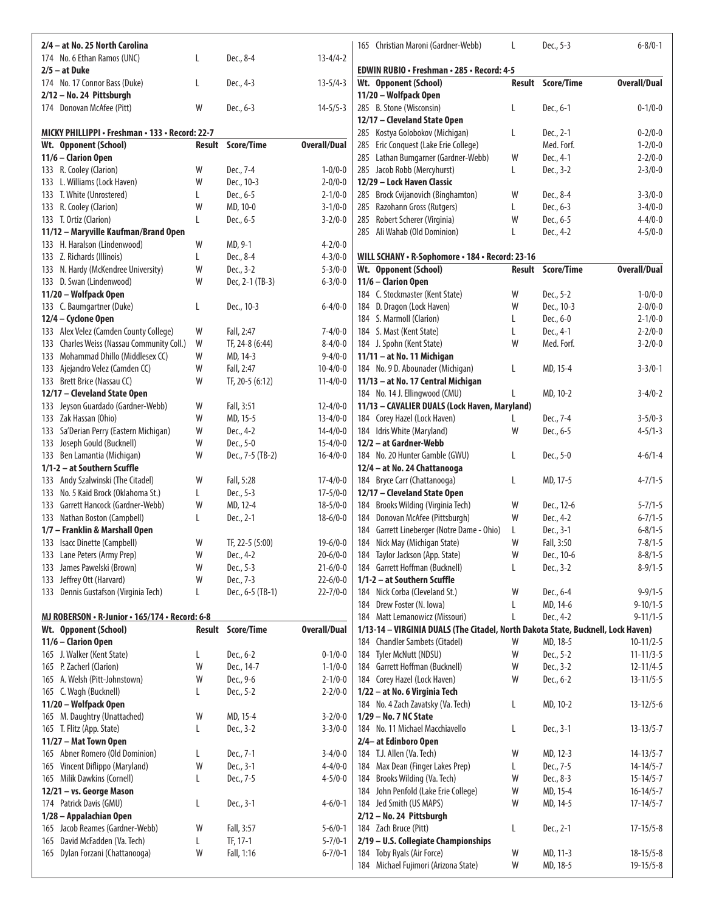| 2/4 - at No. 25 North Carolina                                 |        |                               |                                  | 165 Christian Maroni (Gardner-Webb)                                                                                | L      | Dec., 5-3         | $6 - 8/0 - 1$       |
|----------------------------------------------------------------|--------|-------------------------------|----------------------------------|--------------------------------------------------------------------------------------------------------------------|--------|-------------------|---------------------|
| 174 No. 6 Ethan Ramos (UNC)                                    | L      | Dec., 8-4                     | $13 - 4/4 - 2$                   |                                                                                                                    |        |                   |                     |
| $2/5 - at Duke$                                                |        |                               |                                  | EDWIN RUBIO · Freshman · 285 · Record: 4-5                                                                         |        |                   |                     |
| 174 No. 17 Connor Bass (Duke)                                  | L      | Dec., 4-3                     | $13 - 5/4 - 3$                   | Wt. Opponent (School)                                                                                              | Result | <b>Score/Time</b> | <b>Overall/Dual</b> |
| 2/12 - No. 24 Pittsburgh                                       |        |                               |                                  | 11/20 - Wolfpack Open                                                                                              |        |                   |                     |
| 174 Donovan McAfee (Pitt)                                      | W      | Dec., 6-3                     | $14 - 5/5 - 3$                   | 285 B. Stone (Wisconsin)<br>12/17 - Cleveland State Open                                                           | L      | Dec., 6-1         | $0 - 1/0 - 0$       |
| MICKY PHILLIPPI • Freshman • 133 • Record: 22-7                |        |                               |                                  | 285 Kostya Golobokov (Michigan)                                                                                    | L      | Dec., 2-1         | $0 - 2/0 - 0$       |
| Wt. Opponent (School)                                          | Result | Score/Time                    | <b>Overall/Dual</b>              | 285 Eric Conquest (Lake Erie College)                                                                              |        | Med. Forf.        | $1 - 2/0 - 0$       |
| 11/6 - Clarion Open                                            |        |                               |                                  | 285 Lathan Bumgarner (Gardner-Webb)                                                                                | W      | Dec., 4-1         | $2 - 2/0 - 0$       |
| 133 R. Cooley (Clarion)                                        | W      | Dec., 7-4                     | $1 - 0/0 - 0$                    | 285 Jacob Robb (Mercyhurst)                                                                                        | L      | Dec., 3-2         | $2 - 3/0 - 0$       |
| 133 L. Williams (Lock Haven)                                   | W      | Dec., 10-3                    | $2 - 0/0 - 0$                    | 12/29 - Lock Haven Classic                                                                                         |        |                   |                     |
| 133 T. White (Unrostered)                                      | L      | Dec., 6-5                     | $2 - 1/0 - 0$                    | 285 Brock Cvijanovich (Binghamton)                                                                                 | W      | Dec., 8-4         | $3 - 3/0 - 0$       |
| 133 R. Cooley (Clarion)                                        | W      | MD, 10-0                      | $3 - 1/0 - 0$                    | 285 Razohann Gross (Rutgers)                                                                                       | L      | Dec., 6-3         | $3 - 4/0 - 0$       |
| 133 T. Ortiz (Clarion)                                         | L      | Dec., 6-5                     | $3 - 2/0 - 0$                    | 285 Robert Scherer (Virginia)                                                                                      | W      | Dec., 6-5         | $4 - 4/0 - 0$       |
| 11/12 - Maryville Kaufman/Brand Open                           |        |                               |                                  | 285 Ali Wahab (Old Dominion)                                                                                       | L      | Dec., 4-2         | $4 - 5/0 - 0$       |
| 133 H. Haralson (Lindenwood)                                   | W      | MD, 9-1                       | $4 - 2/0 - 0$                    |                                                                                                                    |        |                   |                     |
| 133 Z. Richards (Illinois)                                     | L      | Dec., 8-4                     | $4 - 3/0 - 0$                    | WILL SCHANY · R-Sophomore · 184 · Record: 23-16                                                                    |        |                   |                     |
| 133 N. Hardy (McKendree University)                            | W      | Dec., 3-2                     | $5 - 3/0 - 0$                    | Wt. Opponent (School)                                                                                              |        | Result Score/Time | <b>Overall/Dual</b> |
| 133 D. Swan (Lindenwood)                                       | W      | Dec, 2-1 (TB-3)               | $6 - 3/0 - 0$                    | 11/6 - Clarion Open                                                                                                |        |                   |                     |
| 11/20 - Wolfpack Open                                          |        |                               |                                  | 184 C. Stockmaster (Kent State)                                                                                    | W      | Dec., 5-2         | $1 - 0/0 - 0$       |
| 133 C. Baumgartner (Duke)                                      | L      | Dec., 10-3                    | $6 - 4/0 - 0$                    | 184 D. Dragon (Lock Haven)                                                                                         | W      | Dec., 10-3        | $2 - 0/0 - 0$       |
| 12/4 - Cyclone Open                                            |        |                               |                                  | 184 S. Marmoll (Clarion)                                                                                           | L      | Dec., 6-0         | $2 - 1/0 - 0$       |
| 133 Alex Velez (Camden County College)                         | W      | Fall, 2:47                    | $7 - 4/0 - 0$                    | 184 S. Mast (Kent State)                                                                                           | L      | Dec., 4-1         | $2 - 2/0 - 0$       |
| 133 Charles Weiss (Nassau Community Coll.)                     | W      | TF, 24-8 (6:44)               | $8 - 4/0 - 0$                    | 184 J. Spohn (Kent State)                                                                                          | W      | Med. Forf.        | $3 - 2/0 - 0$       |
| 133 Mohammad Dhillo (Middlesex CC)                             | W      | MD, 14-3                      | $9 - 4/0 - 0$                    | 11/11 - at No. 11 Michigan                                                                                         |        |                   |                     |
| 133 Ajejandro Velez (Camden CC)<br>133 Brett Brice (Nassau CC) | W<br>W | Fall, 2:47<br>TF, 20-5 (6:12) | $10 - 4/0 - 0$<br>$11 - 4/0 - 0$ | 184 No. 9 D. Abounader (Michigan)<br>11/13 - at No. 17 Central Michigan                                            | L      | MD, 15-4          | $3 - 3/0 - 1$       |
| 12/17 - Cleveland State Open                                   |        |                               |                                  | 184 No. 14 J. Ellingwood (CMU)                                                                                     | L      | MD, 10-2          | $3-4/0-2$           |
| 133 Jeyson Guardado (Gardner-Webb)                             | W      | Fall, 3:51                    | $12 - 4/0 - 0$                   | 11/13 - CAVALIER DUALS (Lock Haven, Maryland)                                                                      |        |                   |                     |
| 133 Zak Hassan (Ohio)                                          | W      | MD, 15-5                      | $13 - 4/0 - 0$                   | 184 Corey Hazel (Lock Haven)                                                                                       | L      | Dec., 7-4         | $3 - 5/0 - 3$       |
| 133 Sa'Derian Perry (Eastern Michigan)                         | W      | Dec., 4-2                     | $14 - 4/0 - 0$                   | 184 Idris White (Maryland)                                                                                         | W      | Dec., 6-5         | $4 - 5/1 - 3$       |
| 133 Joseph Gould (Bucknell)                                    | W      | Dec., 5-0                     | $15 - 4/0 - 0$                   | 12/2 - at Gardner-Webb                                                                                             |        |                   |                     |
| Ben Lamantia (Michigan)<br>133                                 | W      | Dec., 7-5 (TB-2)              | $16 - 4/0 - 0$                   | 184 No. 20 Hunter Gamble (GWU)                                                                                     | L      | Dec., 5-0         | $4 - 6/1 - 4$       |
| 1/1-2 - at Southern Scuffle                                    |        |                               |                                  | 12/4 - at No. 24 Chattanooga                                                                                       |        |                   |                     |
| 133 Andy Szalwinski (The Citadel)                              | W      | Fall, 5:28                    | $17 - 4/0 - 0$                   | 184 Bryce Carr (Chattanooga)                                                                                       | L      | MD, 17-5          | $4 - 7/1 - 5$       |
| 133 No. 5 Kaid Brock (Oklahoma St.)                            | L      | Dec., 5-3                     | $17 - 5/0 - 0$                   | 12/17 - Cleveland State Open                                                                                       |        |                   |                     |
| 133 Garrett Hancock (Gardner-Webb)                             | W      | MD, 12-4                      | $18 - 5/0 - 0$                   | 184 Brooks Wilding (Virginia Tech)                                                                                 | W      | Dec., 12-6        | $5 - 7/1 - 5$       |
| 133 Nathan Boston (Campbell)                                   | L      | Dec., 2-1                     | $18-6/0-0$                       | 184 Donovan McAfee (Pittsburgh)                                                                                    | W      | Dec., 4-2         | $6 - 7/1 - 5$       |
| 1/7 - Franklin & Marshall Open                                 |        |                               |                                  | 184 Garrett Lineberger (Notre Dame - Ohio)                                                                         | L      | Dec., 3-1         | $6 - 8/1 - 5$       |
| 133 Isacc Dinette (Campbell)                                   | W      | TF, 22-5 (5:00)               | $19-6/0-0$                       | 184 Nick May (Michigan State)                                                                                      | W      | Fall, 3:50        | $7 - 8/1 - 5$       |
| Lane Peters (Army Prep)<br>133                                 | W      | Dec., 4-2                     | $20 - 6/0 - 0$                   | 184 Taylor Jackson (App. State)                                                                                    | W      | Dec., 10-6        | $8 - 8/1 - 5$       |
| 133 James Pawelski (Brown)                                     | W      | Dec., 5-3                     | $21 - 6/0 - 0$                   | 184 Garrett Hoffman (Bucknell)                                                                                     | L      | Dec., 3-2         | $8 - 9/1 - 5$       |
| Jeffrey Ott (Harvard)<br>133                                   | W      | Dec., 7-3                     | $22 - 6/0 - 0$                   | 1/1-2 - at Southern Scuffle                                                                                        |        |                   |                     |
| 133 Dennis Gustafson (Virginia Tech)                           | L      | Dec., 6-5 (TB-1)              | $22 - 7/0 - 0$                   | 184 Nick Corba (Cleveland St.)                                                                                     | W      | Dec., 6-4         | $9 - 9/1 - 5$       |
|                                                                |        |                               |                                  | 184 Drew Foster (N. Iowa)                                                                                          |        | MD, 14-6          | $9 - 10/1 - 5$      |
| MJ ROBERSON · R-Junior · 165/174 · Record: 6-8                 |        | Result Score/Time             | <b>Overall/Dual</b>              | 184 Matt Lemanowicz (Missouri)<br>1/13-14 - VIRGINIA DUALS (The Citadel, North Dakota State, Bucknell, Lock Haven) | L      | Dec., 4-2         | $9 - 11/1 - 5$      |
| Wt. Opponent (School)<br>11/6 - Clarion Open                   |        |                               |                                  | 184 Chandler Sambets (Citadel)                                                                                     | W      | MD, 18-5          | $10-11/2-5$         |
| 165 J. Walker (Kent State)                                     | L      | Dec., 6-2                     | $0 - 1/0 - 0$                    | 184 Tyler McNutt (NDSU)                                                                                            | W      | Dec., 5-2         | $11 - 11/3 - 5$     |
| 165 P. Zacherl (Clarion)                                       | W      | Dec., 14-7                    | $1 - 1/0 - 0$                    | 184 Garrett Hoffman (Bucknell)                                                                                     | W      | Dec., 3-2         | $12 - 11/4 - 5$     |
| 165 A. Welsh (Pitt-Johnstown)                                  | W      | Dec., 9-6                     | $2 - 1/0 - 0$                    | 184 Corey Hazel (Lock Haven)                                                                                       | W      | Dec., 6-2         | $13 - 11/5 - 5$     |
| 165 C. Wagh (Bucknell)                                         | L      | Dec., 5-2                     | $2 - 2/0 - 0$                    | 1/22 - at No. 6 Virginia Tech                                                                                      |        |                   |                     |
| 11/20 - Wolfpack Open                                          |        |                               |                                  | 184 No. 4 Zach Zavatsky (Va. Tech)                                                                                 | L      | MD, 10-2          | $13 - 12/5 - 6$     |
| 165 M. Daughtry (Unattached)                                   | W      | MD, 15-4                      | $3 - 2/0 - 0$                    | 1/29 - No. 7 NC State                                                                                              |        |                   |                     |
| 165 T. Flitz (App. State)                                      | L      | Dec., 3-2                     | $3 - 3/0 - 0$                    | 184 No. 11 Michael Macchiavello                                                                                    | L      | Dec., 3-1         | $13 - 13/5 - 7$     |
| 11/27 - Mat Town Open                                          |        |                               |                                  | 2/4- at Edinboro Open                                                                                              |        |                   |                     |
| 165 Abner Romero (Old Dominion)                                | L      | Dec., 7-1                     | $3-4/0-0$                        | 184 T.J. Allen (Va. Tech)                                                                                          | W      | MD, 12-3          | $14 - 13/5 - 7$     |
| Vincent Diflippo (Maryland)<br>165                             | W      | Dec., 3-1                     | $4 - 4/0 - 0$                    | 184 Max Dean (Finger Lakes Prep)                                                                                   | L      | Dec., 7-5         | $14 - 14/5 - 7$     |
| 165 Milik Dawkins (Cornell)                                    | L      | Dec., 7-5                     | $4 - 5/0 - 0$                    | 184 Brooks Wilding (Va. Tech)                                                                                      | W      | Dec., 8-3         | $15 - 14/5 - 7$     |
| 12/21 - vs. George Mason                                       |        |                               |                                  | 184 John Penfold (Lake Erie College)                                                                               | W      | MD, 15-4          | $16 - 14/5 - 7$     |
| 174 Patrick Davis (GMU)                                        | L      | Dec., 3-1                     | $4 - 6/0 - 1$                    | 184 Jed Smith (US MAPS)                                                                                            | W      | MD, 14-5          | $17 - 14/5 - 7$     |
| 1/28 - Appalachian Open                                        |        |                               |                                  | 2/12 - No. 24 Pittsburgh                                                                                           |        |                   |                     |
| 165 Jacob Reames (Gardner-Webb)                                | W      | Fall, 3:57                    | $5 - 6/0 - 1$                    | 184 Zach Bruce (Pitt)                                                                                              | L      | Dec., 2-1         | $17 - 15/5 - 8$     |
| David McFadden (Va. Tech)<br>165                               | L      | TF, 17-1                      | $5 - 7/0 - 1$                    | 2/19 - U.S. Collegiate Championships                                                                               |        |                   |                     |
| 165 Dylan Forzani (Chattanooga)                                | W      | Fall, 1:16                    | $6 - 7/0 - 1$                    | 184 Toby Ryals (Air Force)                                                                                         | W      | MD, 11-3          | $18 - 15/5 - 8$     |
|                                                                |        |                               |                                  | 184 Michael Fujimori (Arizona State)                                                                               | W      | MD, 18-5          | $19 - 15/5 - 8$     |